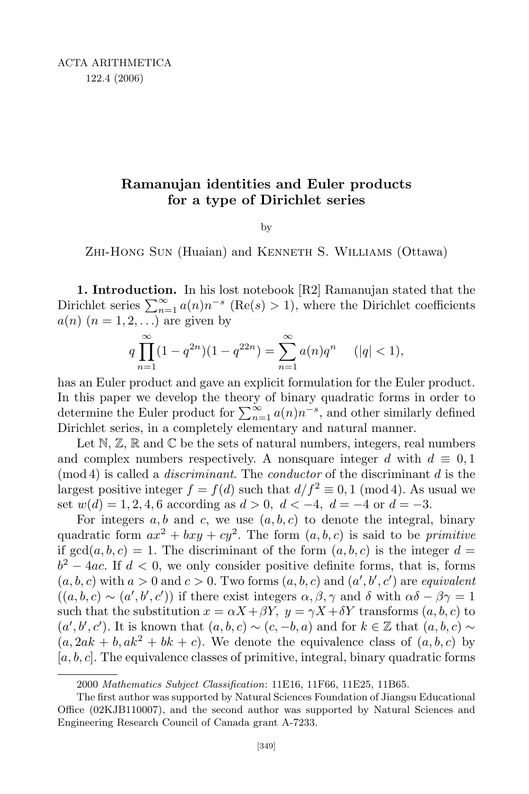## **Ramanujan identities and Euler products for a type of Dirichlet series**

by

Zhi-Hong Sun (Huaian) and Kenneth S. Williams (Ottawa)

**1. Introduction.** In his lost notebook [R2] Ramanujan stated that the Dirichlet series  $\sum_{n=1}^{\infty} a(n)n^{-s}$  (Re(*s*) > 1), where the Dirichlet coefficients  $a(n)$   $(n = 1, 2, ...)$  are given by

$$
q\prod_{n=1}^{\infty} (1-q^{2n})(1-q^{22n}) = \sum_{n=1}^{\infty} a(n)q^n \quad (|q| < 1),
$$

has an Euler product and gave an explicit formulation for the Euler product. In this paper we develop the theory of binary quadratic forms in order to determine the Euler product for  $\sum_{n=1}^{\infty} a(n)n^{-s}$ , and other similarly defined Dirichlet series, in a completely elementary and natural manner.

Let  $\mathbb{N}, \mathbb{Z}, \mathbb{R}$  and  $\mathbb{C}$  be the sets of natural numbers, integers, real numbers and complex numbers respectively. A nonsquare integer *d* with  $d \equiv 0,1$ (mod 4) is called a *discriminant*. The *conductor* of the discriminant *d* is the largest positive integer  $f = f(d)$  such that  $d/f^2 \equiv 0, 1 \pmod{4}$ . As usual we set  $w(d) = 1, 2, 4, 6$  according as  $d > 0$ ,  $d < -4$ ,  $d = -4$  or  $d = -3$ .

For integers  $a, b$  and  $c$ , we use  $(a, b, c)$  to denote the integral, binary quadratic form  $ax^2 + bxy + cy^2$ . The form  $(a, b, c)$  is said to be *primitive* if  $gcd(a, b, c) = 1$ . The discriminant of the form  $(a, b, c)$  is the integer  $d =$  $b^2 - 4ac$ . If  $d < 0$ , we only consider positive definite forms, that is, forms  $(a, b, c)$  with  $a > 0$  and  $c > 0$ . Two forms  $(a, b, c)$  and  $(a', b', c')$  are *equivalent*  $((a, b, c) \sim (a', b', c'))$  if there exist integers  $\alpha, \beta, \gamma$  and  $\delta$  with  $\alpha\delta - \beta\gamma = 1$ such that the substitution  $x = \alpha X + \beta Y$ ,  $y = \gamma X + \delta Y$  transforms  $(a, b, c)$  to  $(a', b', c')$ . It is known that  $(a, b, c) \sim (c, -b, a)$  and for  $k \in \mathbb{Z}$  that  $(a, b, c) \sim$  $(a, 2ak + b, ak^2 + bk + c)$ . We denote the equivalence class of  $(a, b, c)$  by [*a, b, c*]. The equivalence classes of primitive, integral, binary quadratic forms

<sup>2000</sup> *Mathematics Subject Classification*: 11E16, 11F66, 11E25, 11B65.

The first author was supported by Natural Sciences Foundation of Jiangsu Educational Office (02KJB110007), and the second author was supported by Natural Sciences and Engineering Research Council of Canada grant A-7233.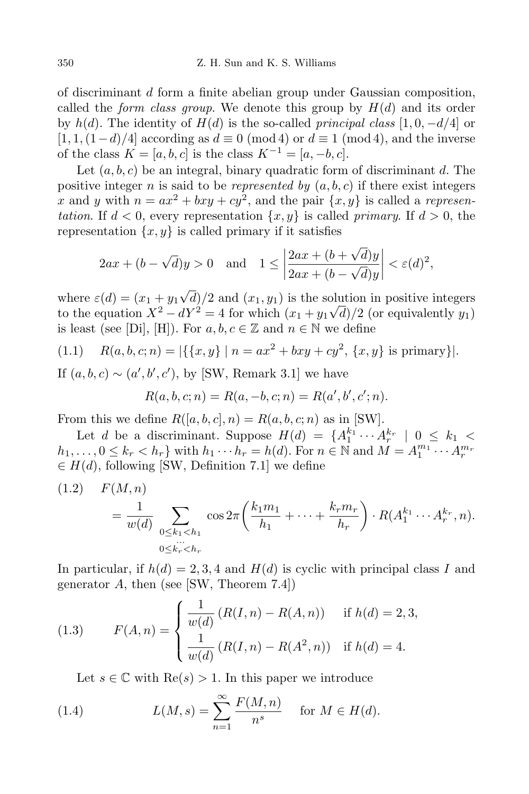of discriminant *d* form a finite abelian group under Gaussian composition, called the *form class group*. We denote this group by  $H(d)$  and its order by  $h(d)$ . The identity of  $H(d)$  is the so-called *principal class* [1,0*,*  $-d/4$ ] or  $[1, 1, (1 - d)/4]$  according as  $d \equiv 0 \pmod{4}$  or  $d \equiv 1 \pmod{4}$ , and the inverse of the class  $K = [a, b, c]$  is the class  $K^{-1} = [a, -b, c]$ .

Let (*a, b, c*) be an integral, binary quadratic form of discriminant *d*. The positive integer *n* is said to be *represented by*  $(a, b, c)$  if there exist integers *x* and *y* with  $n = ax^2 + bxy + cy^2$ , and the pair  $\{x, y\}$  is called a *representation*. If  $d < 0$ , every representation  $\{x, y\}$  is called *primary*. If  $d > 0$ , the representation  $\{x, y\}$  is called primary if it satisfies

$$
2ax + (b - \sqrt{d})y > 0 \quad \text{and} \quad 1 \le \left| \frac{2ax + (b + \sqrt{d})y}{2ax + (b - \sqrt{d})y} \right| < \varepsilon(d)^2,
$$

where  $\varepsilon(d) = (x_1 + y_1\sqrt{d})/2$  and  $(x_1, y_1)$  is the solution in positive integers to the equation  $X^2 - dY^2 = 4$  for which  $(x_1 + y_1\sqrt{d})/2$  (or equivalently  $y_1$ ) is least (see [Di], [H]). For  $a, b, c \in \mathbb{Z}$  and  $n \in \mathbb{N}$  we define

$$
(1.1) \quad R(a, b, c; n) = |\{\{x, y\} \mid n = ax^2 + bxy + cy^2, \{x, y\} \text{ is primary}\}|.
$$

If  $(a, b, c) \sim (a', b', c')$ , by [SW, Remark 3.1] we have

$$
R(a, b, c; n) = R(a, -b, c; n) = R(a', b', c'; n).
$$

From this we define  $R([a, b, c], n) = R(a, b, c; n)$  as in [SW].

Let *d* be a discriminant. Suppose  $H(d) = \{A_1^{k_1} \cdots A_r^{k_r} \mid 0 \leq k_1 <$  $h_1, \ldots, 0 \leq k_r < h_r$  with  $h_1 \cdots h_r = h(d)$ . For  $n \in \mathbb{N}$  and  $M = A_1^{m_1} \cdots A_r^{m_r}$ *∈ H*(*d*), following [SW, Definition 7.1] we define

$$
(1.2) \tF(M,n) = \frac{1}{w(d)} \sum_{\substack{0 \le k_1 < h_1 \\ 0 \le k_r < h_r}} \cos 2\pi \left(\frac{k_1 m_1}{h_1} + \dots + \frac{k_r m_r}{h_r}\right) \cdot R(A_1^{k_1} \cdots A_r^{k_r}, n).
$$

In particular, if  $h(d) = 2, 3, 4$  and  $H(d)$  is cyclic with principal class *I* and generator *A*, then (see [SW, Theorem 7.4])

(1.3) 
$$
F(A, n) = \begin{cases} \frac{1}{w(d)} (R(I, n) - R(A, n)) & \text{if } h(d) = 2, 3, \\ \frac{1}{w(d)} (R(I, n) - R(A^2, n)) & \text{if } h(d) = 4. \end{cases}
$$

Let  $s \in \mathbb{C}$  with  $\text{Re}(s) > 1$ . In this paper we introduce

(1.4) 
$$
L(M, s) = \sum_{n=1}^{\infty} \frac{F(M, n)}{n^s} \text{ for } M \in H(d).
$$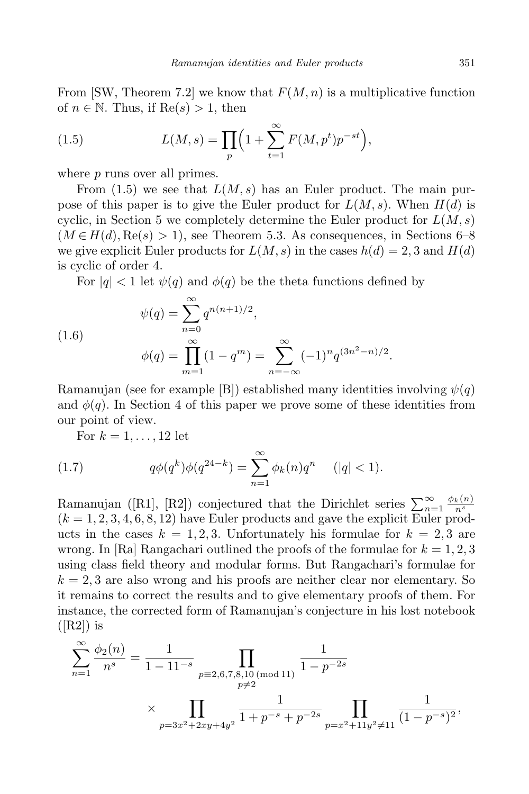From [SW, Theorem 7.2] we know that  $F(M, n)$  is a multiplicative function of  $n \in \mathbb{N}$ . Thus, if  $\text{Re}(s) > 1$ , then

(1.5) 
$$
L(M, s) = \prod_{p} \left( 1 + \sum_{t=1}^{\infty} F(M, p^t) p^{-st} \right),
$$

where *p* runs over all primes.

From (1.5) we see that *L*(*M, s*) has an Euler product. The main purpose of this paper is to give the Euler product for *L*(*M, s*). When *H*(*d*) is cyclic, in Section 5 we completely determine the Euler product for  $L(M, s)$  $(M \in H(d), \text{Re}(s) > 1)$ , see Theorem 5.3. As consequences, in Sections 6–8 we give explicit Euler products for  $L(M, s)$  in the cases  $h(d) = 2, 3$  and  $H(d)$ is cyclic of order 4.

For  $|q| < 1$  let  $\psi(q)$  and  $\phi(q)$  be the theta functions defined by

(1.6)  
\n
$$
\psi(q) = \sum_{n=0}^{\infty} q^{n(n+1)/2},
$$
\n
$$
\phi(q) = \prod_{m=1}^{\infty} (1 - q^m) = \sum_{n=-\infty}^{\infty} (-1)^n q^{(3n^2 - n)/2}.
$$

Ramanujan (see for example [B]) established many identities involving *ψ*(*q*) and  $\phi(q)$ . In Section 4 of this paper we prove some of these identities from our point of view.

For  $k = 1, ..., 12$  let

(1.7) 
$$
q\phi(q^k)\phi(q^{24-k}) = \sum_{n=1}^{\infty} \phi_k(n)q^n \quad (|q| < 1).
$$

Ramanujan ([R1], [R2]) conjectured that the Dirichlet series  $\sum_{n=1}^{\infty} \frac{\phi_k(n)}{n^s}$ *n<sup>s</sup>*  $(k = 1, 2, 3, 4, 6, 8, 12)$  have Euler products and gave the explicit Euler products in the cases  $k = 1, 2, 3$ . Unfortunately his formulae for  $k = 2, 3$  are wrong. In [Ra] Rangachari outlined the proofs of the formulae for  $k = 1, 2, 3$ using class field theory and modular forms. But Rangachari's formulae for  $k = 2, 3$  are also wrong and his proofs are neither clear nor elementary. So it remains to correct the results and to give elementary proofs of them. For instance, the corrected form of Ramanujan's conjecture in his lost notebook  $([R2])$  is

$$
\sum_{n=1}^{\infty} \frac{\phi_2(n)}{n^s} = \frac{1}{1 - 11^{-s}} \prod_{\substack{p \equiv 2,6,7,8,10 \pmod{11}}} \frac{1}{1 - p^{-2s}}
$$
  
 
$$
\times \prod_{\substack{p=3x^2+2xy+4y^2}} \frac{1}{1 + p^{-s} + p^{-2s}} \prod_{\substack{p=x^2+11y^2 \neq 11}} \frac{1}{(1 - p^{-s})^2},
$$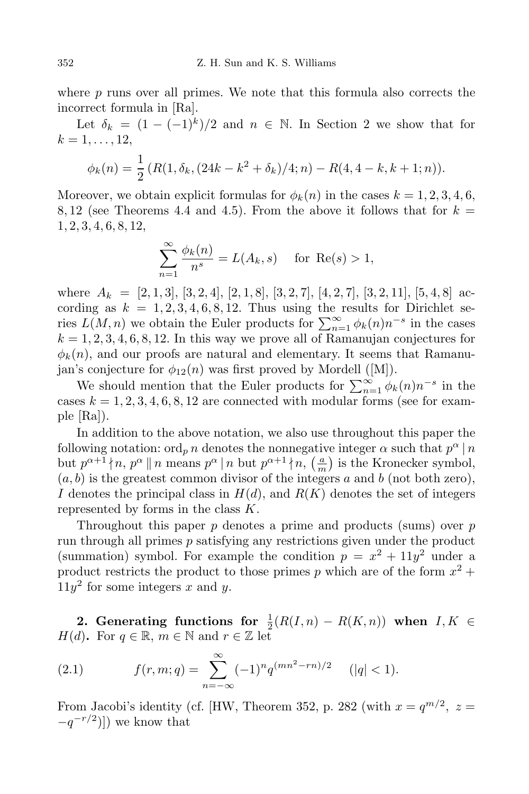where *p* runs over all primes. We note that this formula also corrects the incorrect formula in [Ra].

Let  $\delta_k = (1 - (-1)^k)/2$  and  $n \in \mathbb{N}$ . In Section 2 we show that for  $k = 1, \ldots, 12,$ 

$$
\phi_k(n) = \frac{1}{2} \left( R(1, \delta_k, (24k - k^2 + \delta_k)/4; n) - R(4, 4 - k, k + 1; n) \right).
$$

Moreover, we obtain explicit formulas for  $\phi_k(n)$  in the cases  $k = 1, 2, 3, 4, 6$ , 8, 12 (see Theorems 4.4 and 4.5). From the above it follows that for  $k =$ 1*,* 2*,* 3*,* 4*,* 6*,* 8*,* 12,

$$
\sum_{n=1}^{\infty} \frac{\phi_k(n)}{n^s} = L(A_k, s) \quad \text{for } \text{Re}(s) > 1,
$$

where  $A_k = [2, 1, 3], [3, 2, 4], [2, 1, 8], [3, 2, 7], [4, 2, 7], [3, 2, 11], [5, 4, 8]$  according as  $k = 1, 2, 3, 4, 6, 8, 12$ . Thus using the results for Dirichlet series  $L(M, n)$  we obtain the Euler products for  $\sum_{n=1}^{\infty} \phi_k(n) n^{-s}$  in the cases  $k = 1, 2, 3, 4, 6, 8, 12$ . In this way we prove all of Ramanujan conjectures for  $\phi_k(n)$ , and our proofs are natural and elementary. It seems that Ramanujan's conjecture for  $\phi_{12}(n)$  was first proved by Mordell ([M]).

We should mention that the Euler products for  $\sum_{n=1}^{\infty} \phi_k(n) n^{-s}$  in the cases  $k = 1, 2, 3, 4, 6, 8, 12$  are connected with modular forms (see for example  $|Ra|$ ).

In addition to the above notation, we also use throughout this paper the following notation: ord<sub>*p*</sub> *n* denotes the nonnegative integer  $\alpha$  such that  $p^{\alpha}$  |*n* but  $p^{\alpha+1} \nmid n, p^{\alpha} \parallel n$  means  $p^{\alpha} \mid n$  but  $p^{\alpha+1} \nmid n, \left(\frac{a}{m}\right)$  $\frac{a}{m}$ ) is the Kronecker symbol, (*a, b*) is the greatest common divisor of the integers *a* and *b* (not both zero), *I* denotes the principal class in *H*(*d*), and *R*(*K*) denotes the set of integers represented by forms in the class *K*.

Throughout this paper *p* denotes a prime and products (sums) over *p* run through all primes *p* satisfying any restrictions given under the product (summation) symbol. For example the condition  $p = x^2 + 11y^2$  under a product restricts the product to those primes  $p$  which are of the form  $x^2 +$  $11y<sup>2</sup>$  for some integers *x* and *y*.

2. Generating functions for  $\frac{1}{2}(R(I,n) - R(K,n))$  when  $I, K \in$ *H*(*d*). For  $q \in \mathbb{R}$ ,  $m \in \mathbb{N}$  and  $r \in \mathbb{Z}$  let

(2.1) 
$$
f(r,m;q) = \sum_{n=-\infty}^{\infty} (-1)^n q^{(mn^2 - rn)/2} \quad (|q| < 1).
$$

From Jacobi's identity (cf. [HW, Theorem 352, p. 282 (with  $x = q^{m/2}$ ,  $z =$ *−q*<sup>-*r*/2</sup>)]) we know that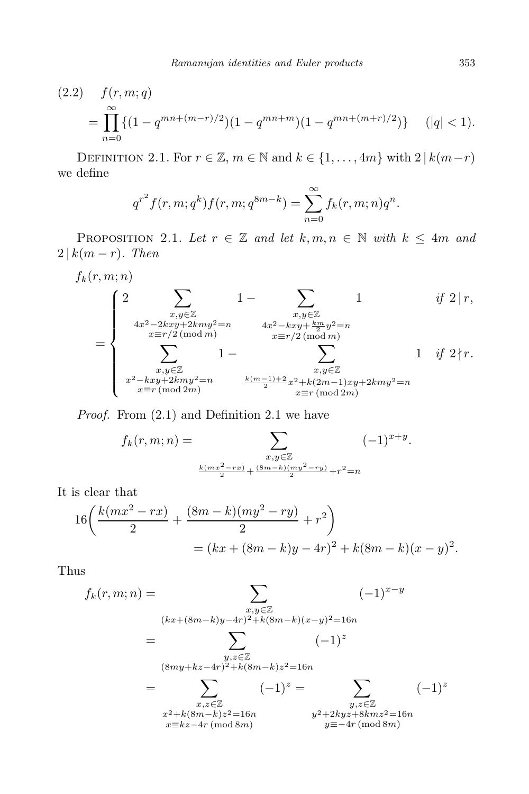$$
(2.2) \quad f(r, m; q) = \prod_{n=0}^{\infty} \{ (1 - q^{mn + (m-r)/2}) (1 - q^{mn + m}) (1 - q^{mn + (m+r)/2}) \} \quad (|q| < 1).
$$

DEFINITION 2.1. For  $r \in \mathbb{Z}$ ,  $m \in \mathbb{N}$  and  $k \in \{1, ..., 4m\}$  with  $2 | k(m-r)$ we define

$$
q^{r^2} f(r, m; q^k) f(r, m; q^{8m-k}) = \sum_{n=0}^{\infty} f_k(r, m; n) q^n.
$$

PROPOSITION 2.1. Let  $r \in \mathbb{Z}$  and let  $k, m, n \in \mathbb{N}$  with  $k \leq 4m$  and  $2 | k(m - r)$ *. Then* 

$$
f_k(r, m; n)
$$
\n
$$
= \begin{cases}\n2 \sum_{\substack{x, y \in \mathbb{Z} \\ 4x^2 - 2kxy + 2kmy^2 = n \\ x \equiv r/2 \pmod{m}}} 1 - \sum_{\substack{x, y \in \mathbb{Z} \\ x \equiv r/2 \pmod{m} \\ x \equiv r/2 \pmod{m}}} 1 - \sum_{\substack{x, y \in \mathbb{Z} \\ x \equiv r/2 \pmod{m} \\ x, y \in \mathbb{Z}}} 1 - \sum_{\substack{x, y \in \mathbb{Z} \\ x, y \in \mathbb{Z} \\ x \equiv r \pmod{2m}}} 1 \quad \text{if } 2 \nmid r.\n\end{cases}
$$

*Proof.* From (2.1) and Definition 2.1 we have

$$
f_k(r, m; n) = \sum_{\substack{x, y \in \mathbb{Z} \\ \frac{k(mx^2 - rx)}{2} + \frac{(8m - k)(my^2 - ry)}{2} + r^2 = n}} (-1)^{x+y}.
$$

It is clear that

$$
16\left(\frac{k(mx^2 - rx)}{2} + \frac{(8m - k)(my^2 - ry)}{2} + r^2\right)
$$
  
=  $(kx + (8m - k)y - 4r)^2 + k(8m - k)(x - y)^2$ .

Thus

$$
f_k(r, m; n) = \sum_{\substack{x, y \in \mathbb{Z} \\ (kx + (8m - k)y - 4r)^2 + k(8m - k)(x - y)^2 = 16n}} (-1)^{x - y}
$$
  
\n
$$
= \sum_{\substack{y, z \in \mathbb{Z} \\ (8my + kz - 4r)^2 + k(8m - k)z^2 = 16n \\ x, z \in \mathbb{Z} \\ x^2 + k(8m - k)z^2 = 16n \\ x \equiv kz - 4r \pmod{8m}} (-1)^z = \sum_{\substack{y, z \in \mathbb{Z} \\ y^2 + 2kyz + 8kmz^2 = 16n \\ y \equiv -4r \pmod{8m}} (-1)^z
$$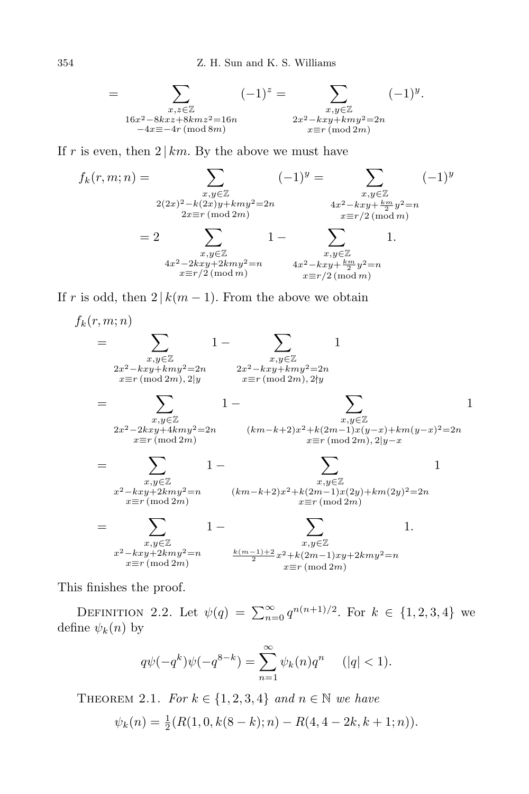$$
= \sum_{\substack{x,z \in \mathbb{Z} \\ 16x^2 - 8kxz + 8kmz^2 = 16n \\ -4x \equiv -4r \pmod{8m}}} (-1)^z = \sum_{\substack{x,y \in \mathbb{Z} \\ 2x^2 - kxy + kmy^2 = 2n \\ x \equiv r \pmod{2m}}} (-1)^y.
$$

If *r* is even, then  $2 \mid km$ . By the above we must have

$$
f_k(r, m; n) = \sum_{\substack{x, y \in \mathbb{Z} \\ 2(2x)^2 - k(2x)y + kmy^2 = 2n \\ 2x \equiv r \pmod{2m}}} (-1)^y = \sum_{\substack{x, y \in \mathbb{Z} \\ 4x^2 - kxy + \frac{km}{2}y^2 = n \\ x \equiv r/2 \pmod{m}}} (-1)^y
$$
\n
$$
= 2 \sum_{\substack{x, y \in \mathbb{Z} \\ 4x^2 - 2kxy + 2kmy^2 = n \\ x \equiv r/2 \pmod{m}}} 1 - \sum_{\substack{x, y \in \mathbb{Z} \\ x \equiv r/2 \pmod{m}}} 1.
$$
\n(4x<sup>2</sup> - 2kxy + 2kmy<sup>2</sup> = n  
x \equiv r/2 \pmod{m}}

If *r* is odd, then  $2 | k(m-1)$ . From the above we obtain

$$
f_k(r, m; n)
$$
\n
$$
= \sum_{\substack{x,y \in \mathbb{Z} \\ 2x^2 - kxy + kmy^2 = 2n \\ x \equiv r \, (\text{mod } 2m), 2|y}} 1 - \sum_{\substack{x,y \in \mathbb{Z} \\ x \equiv r \, (\text{mod } 2m), 2|y}} 1
$$
\n
$$
= \sum_{\substack{x,y \in \mathbb{Z} \\ x \equiv r \, (\text{mod } 2m)}} 1 - \sum_{\substack{x,y \in \mathbb{Z} \\ x \equiv r \, (\text{mod } 2m)}} 1 - \sum_{\substack{x,y \in \mathbb{Z} \\ x \equiv r \, (\text{mod } 2m)}} 1 - \sum_{\substack{x,y \in \mathbb{Z} \\ x \equiv r \, (\text{mod } 2m), 2|y - x}} 1
$$
\n
$$
= \sum_{\substack{x,y \in \mathbb{Z} \\ x^2 - kxy + 2kmy^2 = n \\ x \equiv r \, (\text{mod } 2m)}} 1 - \sum_{\substack{x,y \in \mathbb{Z} \\ x \equiv r \, (\text{mod } 2m)}} 1
$$
\n
$$
= \sum_{\substack{x,y \in \mathbb{Z} \\ x \equiv r \, (\text{mod } 2m)}} 1 - \sum_{\substack{x,y \in \mathbb{Z} \\ x \equiv r \, (\text{mod } 2m)}} 1
$$
\n
$$
= \sum_{\substack{x,y \in \mathbb{Z} \\ x \equiv r \, (\text{mod } 2m)}} 1 - \sum_{\substack{x,y \in \mathbb{Z} \\ x \equiv r \, (\text{mod } 2m)}} 1.
$$

This finishes the proof.

DEFINITION 2.2. Let  $\psi(q) = \sum_{n=0}^{\infty} q^{n(n+1)/2}$ . For  $k \in \{1, 2, 3, 4\}$  we define  $\psi_k(n)$  by

$$
q\psi(-q^k)\psi(-q^{8-k}) = \sum_{n=1}^{\infty} \psi_k(n)q^n \quad (|q| < 1).
$$

THEOREM 2.1. *For*  $k \in \{1, 2, 3, 4\}$  *and*  $n \in \mathbb{N}$  *we have* 

$$
\psi_k(n) = \frac{1}{2}(R(1,0,k(8-k);n) - R(4,4-2k,k+1;n)).
$$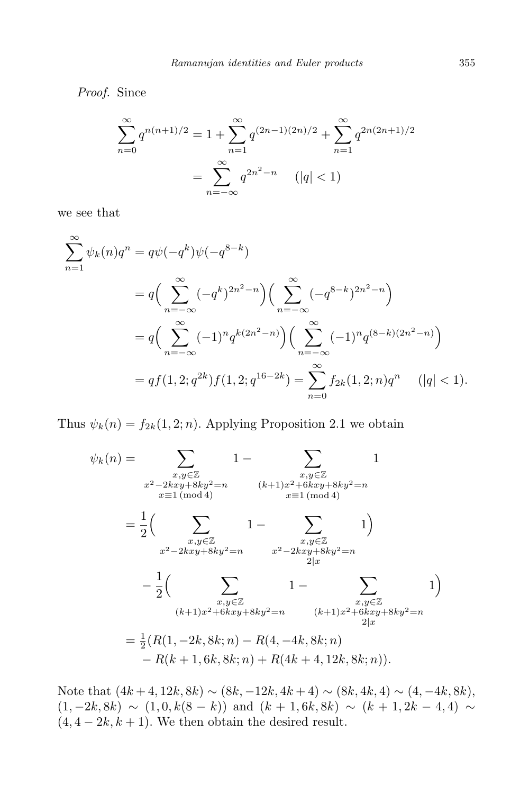*Proof.* Since

$$
\sum_{n=0}^{\infty} q^{n(n+1)/2} = 1 + \sum_{n=1}^{\infty} q^{(2n-1)(2n)/2} + \sum_{n=1}^{\infty} q^{2n(2n+1)/2}
$$

$$
= \sum_{n=-\infty}^{\infty} q^{2n^2 - n} \quad (|q| < 1)
$$

we see that

$$
\sum_{n=1}^{\infty} \psi_k(n) q^n = q \psi(-q^k) \psi(-q^{8-k})
$$
  
=  $q \Big( \sum_{n=-\infty}^{\infty} (-q^k)^{2n^2-n} \Big) \Big( \sum_{n=-\infty}^{\infty} (-q^{8-k})^{2n^2-n} \Big)$   
=  $q \Big( \sum_{n=-\infty}^{\infty} (-1)^n q^{k(2n^2-n)} \Big) \Big( \sum_{n=-\infty}^{\infty} (-1)^n q^{(8-k)(2n^2-n)} \Big)$   
=  $qf(1, 2; q^{2k}) f(1, 2; q^{16-2k}) = \sum_{n=0}^{\infty} f_{2k}(1, 2; n) q^n \qquad (|q| < 1).$ 

Thus  $\psi_k(n) = f_{2k}(1, 2; n)$ . Applying Proposition 2.1 we obtain

$$
\psi_k(n) = \sum_{\substack{x,y \in \mathbb{Z} \\ x^2 - 2kxy + 8ky^2 = n \\ x \equiv 1 \pmod{4}}} 1 - \sum_{\substack{x,y \in \mathbb{Z} \\ x \equiv 1 \pmod{4}}} (k+1)x^2 + 6kxy + 8ky^2 = n
$$

$$
= \frac{1}{2} \left( \sum_{\substack{x,y \in \mathbb{Z} \\ x^2 - 2kxy + 8ky^2 = n}} 1 - \sum_{\substack{x,y \in \mathbb{Z} \\ 2|x}} 1 \right)
$$

$$
- \frac{1}{2} \left( \sum_{\substack{x,y \in \mathbb{Z} \\ (k+1)x^2 + 6kxy + 8ky^2 = n}} 1 - \sum_{\substack{x,y \in \mathbb{Z} \\ 2|x}} 1 \right)
$$

$$
= \frac{1}{2} (R(1, -2k, 8k; n) - R(4, -4k, 8k; n)
$$

$$
- R(k+1, 6k, 8k; n) + R(4k+4, 12k, 8k; n)).
$$

Note that  $(4k+4, 12k, 8k)$   $∼$   $(8k, -12k, 4k+4)$   $∼$   $(8k, 4k, 4)$   $∼$   $(4, -4k, 8k)$ ,  $(1, -2k, 8k) \sim (1, 0, k(8-k))$  and  $(k+1, 6k, 8k) \sim (k+1, 2k-4, 4) \sim$  $(4, 4-2k, k+1)$ . We then obtain the desired result.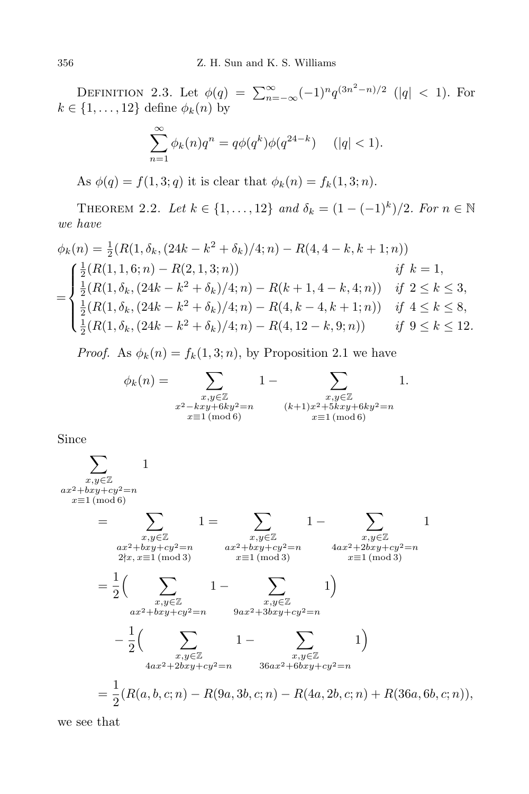DEFINITION 2.3. Let  $\phi(q) = \sum_{n=-\infty}^{\infty} (-1)^n q^{(3n^2-n)/2}$  (|q| < 1). For  $k \in \{1, \ldots, 12\}$  define  $\phi_k(n)$  by

$$
\sum_{n=1}^{\infty} \phi_k(n) q^n = q \phi(q^k) \phi(q^{24-k}) \quad (|q| < 1).
$$

As  $\phi(q) = f(1, 3; q)$  it is clear that  $\phi_k(n) = f_k(1, 3; n)$ .

**THEOREM** 2.2. Let  $k \in \{1, ..., 12\}$  and  $\delta_k = (1 - (-1)^k)/2$ . For  $n \in \mathbb{N}$ *we have*

$$
\phi_k(n) = \frac{1}{2} (R(1, \delta_k, (24k - k^2 + \delta_k)/4; n) - R(4, 4 - k, k + 1; n))
$$
\n
$$
= \begin{cases}\n\frac{1}{2} (R(1, 1, 6; n) - R(2, 1, 3; n)) & \text{if } k = 1, \\
\frac{1}{2} (R(1, \delta_k, (24k - k^2 + \delta_k)/4; n) - R(k + 1, 4 - k, 4; n)) & \text{if } 2 \le k \le 3, \\
\frac{1}{2} (R(1, \delta_k, (24k - k^2 + \delta_k)/4; n) - R(4, k - 4, k + 1; n)) & \text{if } 4 \le k \le 8, \\
\frac{1}{2} (R(1, \delta_k, (24k - k^2 + \delta_k)/4; n) - R(4, 12 - k, 9; n)) & \text{if } 9 \le k \le 12.\n\end{cases}
$$

*Proof.* As  $\phi_k(n) = f_k(1, 3; n)$ , by Proposition 2.1 we have

$$
\phi_k(n) = \sum_{\substack{x, y \in \mathbb{Z} \\ x^2 - kxy + 6ky^2 = n \\ x \equiv 1 \pmod{6}}} 1 - \sum_{\substack{x, y \in \mathbb{Z} \\ (k+1)x^2 + 5kxy + 6ky^2 = n \\ x \equiv 1 \pmod{6}}} 1.
$$

Since

$$
\sum_{\substack{x,y \in \mathbb{Z} \\ x \equiv 1 \pmod{6}}} 1
$$
\n
$$
= \sum_{\substack{x,y \in \mathbb{Z} \\ 2 \nmid x, x \equiv 1 \pmod{3}}} 1 = \sum_{\substack{x,y \in \mathbb{Z} \\ 2 \nmid x, x \equiv 1 \pmod{3}}} 1 - \sum_{\substack{x,y \in \mathbb{Z} \\ 2 \nmid x, x \equiv 1 \pmod{3}}} 1
$$
\n
$$
= \frac{1}{2} \Big( \sum_{\substack{x,y \in \mathbb{Z} \\ ax^2 + bxy + cy^2 = n}} 1 - \sum_{\substack{x,y \in \mathbb{Z} \\ x \equiv 1 \pmod{3}}} 1 \Big)
$$
\n
$$
= \frac{1}{2} \Big( \sum_{\substack{x,y \in \mathbb{Z} \\ ax^2 + bxy + cy^2 = n}} 1 - \sum_{\substack{x,y \in \mathbb{Z} \\ 9ax^2 + 3bxy + cy^2 = n}} 1 \Big)
$$
\n
$$
= \frac{1}{2} \Big( \sum_{\substack{x,y \in \mathbb{Z} \\ 4ax^2 + 2bxy + cy^2 = n}} 1 - \sum_{\substack{x,y \in \mathbb{Z} \\ 36ax^2 + 6bxy + cy^2 = n}} 1 \Big)
$$
\n
$$
= \frac{1}{2} (R(a, b, c; n) - R(9a, 3b, c; n) - R(4a, 2b, c; n) + R(36a, 6b, c; n)),
$$

we see that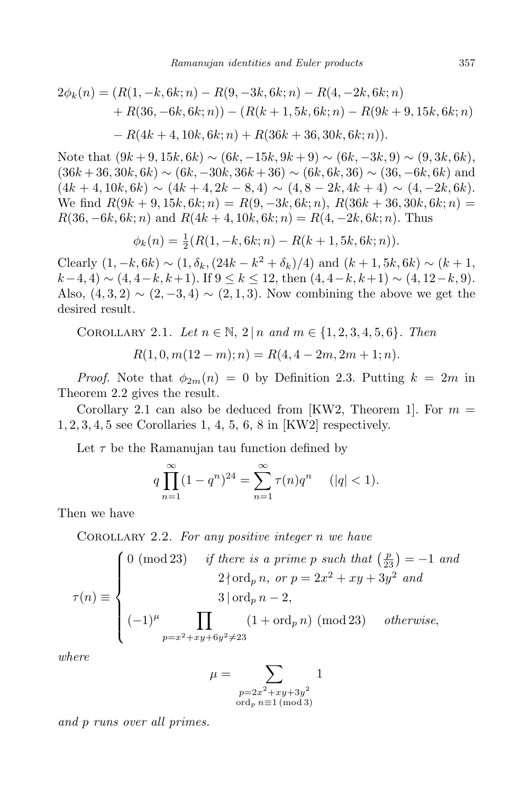$$
2\phi_k(n) = (R(1, -k, 6k; n) - R(9, -3k, 6k; n) - R(4, -2k, 6k; n) + R(36, -6k, 6k; n)) - (R(k + 1, 5k, 6k; n) - R(9k + 9, 15k, 6k; n) - R(4k + 4, 10k, 6k; n) + R(36k + 36, 30k, 6k; n)).
$$

Note that  $(9k+9, 15k, 6k) \sim (6k, -15k, 9k+9) \sim (6k, -3k, 9) \sim (9, 3k, 6k)$ ,  $(36k+36, 30k, 6k) \sim (6k, -30k, 36k+36) \sim (6k, 6k, 36) \sim (36, -6k, 6k)$  and  $(4k + 4, 10k, 6k) \sim (4k + 4, 2k - 8, 4) \sim (4, 8 - 2k, 4k + 4) \sim (4, -2k, 6k).$  $\mathbf{W}\in \text{find } R(9k+9, 15k, 6k; n) = R(9, -3k, 6k; n), R(36k+36, 30k, 6k; n) =$  $R(36, -6k, 6k; n)$  and  $R(4k + 4, 10k, 6k; n) = R(4, -2k, 6k; n)$ . Thus

$$
\phi_k(n) = \frac{1}{2}(R(1, -k, 6k; n) - R(k+1, 5k, 6k; n)).
$$

Clearly  $(1, -k, 6k) \sim (1, \delta_k, (24k - k^2 + \delta_k)/4)$  and  $(k + 1, 5k, 6k) \sim (k + 1, 6k)$ *k*−4*,* 4)  $\sim$  (4*,* 4−*k, k*+1). If  $9 \leq k \leq 12$ , then  $(4, 4-k, k+1) \sim (4, 12-k, 9)$ . Also,  $(4, 3, 2) \sim (2, -3, 4) \sim (2, 1, 3)$ . Now combining the above we get the desired result.

COROLLARY 2.1. Let 
$$
n \in \mathbb{N}
$$
,  $2 | n$  and  $m \in \{1, 2, 3, 4, 5, 6\}$ . Then  

$$
R(1, 0, m(12 - m); n) = R(4, 4 - 2m, 2m + 1; n).
$$

*Proof.* Note that  $\phi_{2m}(n) = 0$  by Definition 2.3. Putting  $k = 2m$  in Theorem 2.2 gives the result.

Corollary 2.1 can also be deduced from [KW2, Theorem 1]. For  $m =$ 1*,* 2*,* 3*,* 4*,* 5 see Corollaries 1, 4, 5, 6, 8 in [KW2] respectively.

Let  $\tau$  be the Ramanujan tau function defined by

$$
q\prod_{n=1}^{\infty}(1-q^n)^{24} = \sum_{n=1}^{\infty}\tau(n)q^n \quad (|q| < 1).
$$

Then we have

Corollary 2.2. *For any positive integer n we have*

$$
\tau(n) \equiv \begin{cases}\n0 \ (\text{mod } 23) & \text{if there is a prime } p \text{ such that } \left(\frac{p}{23}\right) = -1 \text{ and } \\
2 \nmid \text{ord}_p n, \text{ or } p = 2x^2 + xy + 3y^2 \text{ and } \\
3 \mid \text{ord}_p n - 2, \\
(-1)^{\mu} \prod_{p=x^2 + xy + 6y^2 \neq 23} (1 + \text{ord}_p n) \ (\text{mod } 23) & otherwise,\n\end{cases}
$$

*where*

$$
\mu = \sum_{\substack{p=2x^2+xy+3y^2 \ \text{ord}_p \ n \equiv 1 \pmod{3}}} 1
$$

*and p runs over all primes.*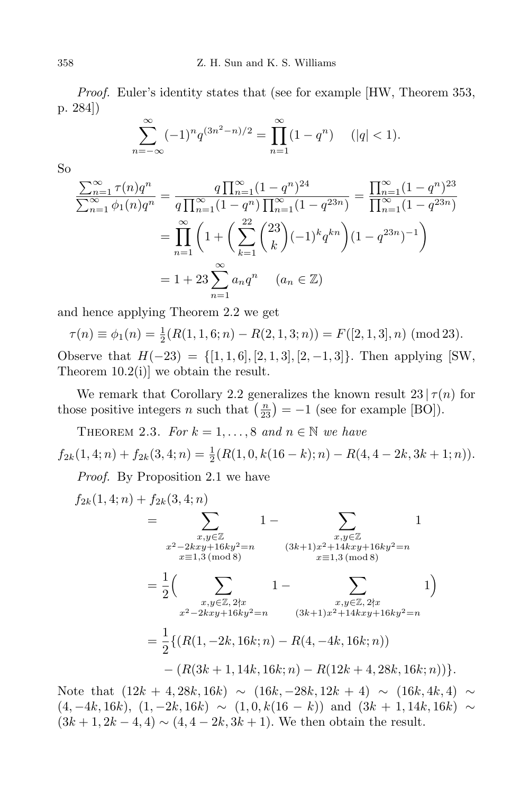*Proof.* Euler's identity states that (see for example [HW, Theorem 353, p. 284])

$$
\sum_{n=-\infty}^{\infty} (-1)^n q^{(3n^2 - n)/2} = \prod_{n=1}^{\infty} (1 - q^n) \quad (|q| < 1).
$$

So

$$
\frac{\sum_{n=1}^{\infty} \tau(n)q^n}{\sum_{n=1}^{\infty} \phi_1(n)q^n} = \frac{q \prod_{n=1}^{\infty} (1-q^n)^{24}}{q \prod_{n=1}^{\infty} (1-q^n) \prod_{n=1}^{\infty} (1-q^{23n})} = \frac{\prod_{n=1}^{\infty} (1-q^n)^{23}}{\prod_{n=1}^{\infty} (1-q^{23n})}
$$

$$
= \prod_{n=1}^{\infty} \left(1 + \left(\sum_{k=1}^{22} {23 \choose k} (-1)^k q^{kn}\right) (1-q^{23n})^{-1}\right)
$$

$$
= 1 + 23 \sum_{n=1}^{\infty} a_n q^n \quad (a_n \in \mathbb{Z})
$$

and hence applying Theorem 2.2 we get

$$
\tau(n) \equiv \phi_1(n) = \frac{1}{2}(R(1, 1, 6; n) - R(2, 1, 3; n)) = F([2, 1, 3], n) \pmod{23}.
$$
  
Observe that  $H(-23) = \{[1, 1, 6], [2, 1, 3], [2, -1, 3]\}$ . Then applying [SW,  
Theorem 10.2(i)] we obtain the result.

We remark that Corollary 2.2 generalizes the known result  $23 | \tau(n)$  for those positive integers *n* such that  $\left(\frac{n}{23}\right) = -1$  (see for example [BO]).

THEOREM 2.3. *For*  $k = 1, ..., 8$  *and*  $n \in \mathbb{N}$  *we have* 

 $f_{2k}(1,4;n) + f_{2k}(3,4;n) = \frac{1}{2}(R(1,0,k(16-k);n) - R(4,4-2k,3k+1;n)).$ 

*Proof.* By Proposition 2.1 we have

$$
f_{2k}(1,4;n) + f_{2k}(3,4;n)
$$
  
= 
$$
\sum_{\substack{x,y \in \mathbb{Z} \\ x^2 - 2kxy + 16ky^2 = n \\ x \equiv 1,3 \pmod{8}}} 1 - \sum_{\substack{x,y \in \mathbb{Z} \\ x \equiv 1,3 \pmod{8}}} 1
$$
  
= 
$$
\frac{1}{2} \Big( \sum_{\substack{x,y \in \mathbb{Z}, 2 \nmid x \\ x^2 - 2kxy + 16ky^2 = n}} 1 - \sum_{\substack{x,y \in \mathbb{Z}, 2 \nmid x \\ (3k+1)x^2 + 14kxy + 16ky^2 = n}} 1 \Big)
$$
  
= 
$$
\frac{1}{2} \{ (R(1, -2k, 16k; n) - R(4, -4k, 16k; n)) - (R(3k+1, 14k, 16k; n) - R(12k+4, 28k, 16k; n)) \}.
$$

Note that  $(12k + 4, 28k, 16k) \sim (16k, -28k, 12k + 4) \sim (16k, 4k, 4) \sim$  $(4, -4k, 16k), (1, -2k, 16k) \sim (1, 0, k(16 - k))$  and  $(3k + 1, 14k, 16k) \sim$  $(3k + 1, 2k - 4, 4) \sim (4, 4 - 2k, 3k + 1)$ . We then obtain the result.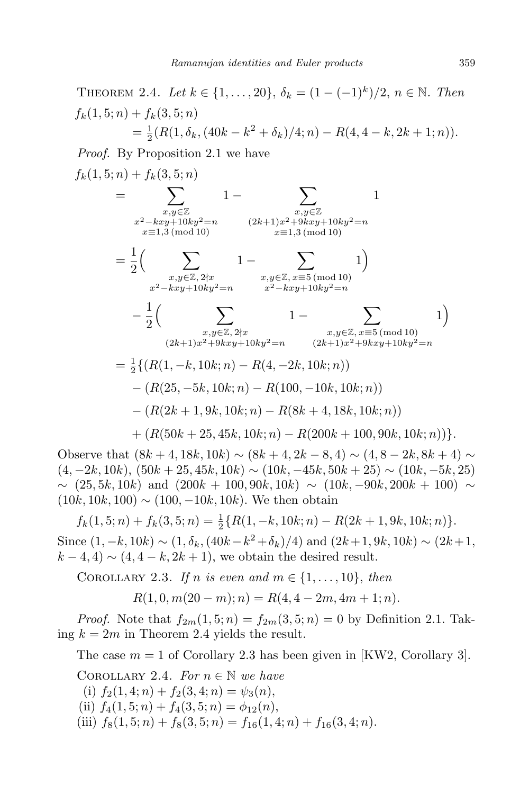THEOREM 2.4. *Let*  $k \in \{1, ..., 20\}$ ,  $\delta_k = (1 - (-1)^k)/2$ ,  $n \in \mathbb{N}$ . *Then*  $f_k(1, 5; n) + f_k(3, 5; n)$  $=\frac{1}{2}$  $\frac{1}{2}(R(1, \delta_k, (40k - k^2 + \delta_k)/4; n) - R(4, 4 - k, 2k + 1; n)).$ 

*Proof.* By Proposition 2.1 we have

$$
f_k(1,5;n) + f_k(3,5;n)
$$
  
= 
$$
\sum_{\substack{x,y \in \mathbb{Z} \\ x^2 - kxy + 10ky^2 = n}} 1 - \sum_{\substack{x,y \in \mathbb{Z} \\ x \equiv 1,3 \pmod{10}}} 1
$$
  
= 
$$
\frac{1}{2} \Big( \sum_{\substack{x,y \in \mathbb{Z}, 2 \nmid x \\ x^2 - kxy + 10ky^2 = n}} 1 - \sum_{\substack{x,y \in \mathbb{Z}, x \equiv 5 \pmod{10} \\ x^2 - kxy + 10ky^2 = n}} 1 \Big) \newline - \frac{1}{2} \Big( \sum_{\substack{x,y \in \mathbb{Z}, 2 \nmid x \\ x^2 - kxy + 10ky^2 = n}} 1 - \sum_{\substack{x,y \in \mathbb{Z}, x \equiv 5 \pmod{10} \\ (2k+1)x^2 + 9kxy + 10ky^2 = n}} (2k+1)x^2 + 9kxy + 10ky^2 = n} 1 \Big)
$$
  
= 
$$
\frac{1}{2} \{ (R(1, -k, 10k; n) - R(4, -2k, 10k; n)) - (R(25, -5k, 10k; n) - R(100, -10k, 10k; n)) - (R(2k+1, 9k, 10k; n) - R(8k+4, 18k, 10k; n)) - (R(200k+25, 45k, 10k; n) - R(200k+100, 90k, 10k; n)) \}.
$$

Observe that  $(8k + 4, 18k, 10k) \sim (8k + 4, 2k - 8, 4) \sim (4, 8 - 2k, 8k + 4) \sim$  $(4, -2k, 10k), (50k + 25, 45k, 10k) \sim (10k, -45k, 50k + 25) \sim (10k, -5k, 25)$ *∼* (25*,* 5*k,* 10*k*) and (200*k* + 100*,* 90*k,* 10*k*) *∼* (10*k, −*90*k,* 200*k* + 100) *∼* (10*k,* 10*k,* 100) *∼* (100*, −*10*k,* 10*k*). We then obtain

 $f_k(1,5;n) + f_k(3,5;n) = \frac{1}{2} \{ R(1,-k,10k;n) - R(2k+1,9k,10k;n) \}.$ Since  $(1, -k, 10k) \sim (1, \delta_k, (40k - k^2 + \delta_k)/4)$  and  $(2k + 1, 9k, 10k) \sim (2k + 1,$  $k - 4, 4$ )  $\sim (4, 4 - k, 2k + 1)$ , we obtain the desired result.

COROLLARY 2.3. *If n is even and*  $m \in \{1, \ldots, 10\}$ , *then* 

$$
R(1,0,m(20-m);n) = R(4,4-2m,4m+1;n).
$$

*Proof.* Note that  $f_{2m}(1,5; n) = f_{2m}(3,5; n) = 0$  by Definition 2.1. Taking  $k = 2m$  in Theorem 2.4 yields the result.

The case  $m = 1$  of Corollary 2.3 has been given in [KW2, Corollary 3].

COROLLARY 2.4. *For*  $n \in \mathbb{N}$  *we have* 

- (i)  $f_2(1, 4; n) + f_2(3, 4; n) = \psi_3(n)$ , (ii)  $f_4(1, 5; n) + f_4(3, 5; n) = \phi_{12}(n)$ ,
- (iii)  $f_8(1, 5; n) + f_8(3, 5; n) = f_{16}(1, 4; n) + f_{16}(3, 4; n)$ .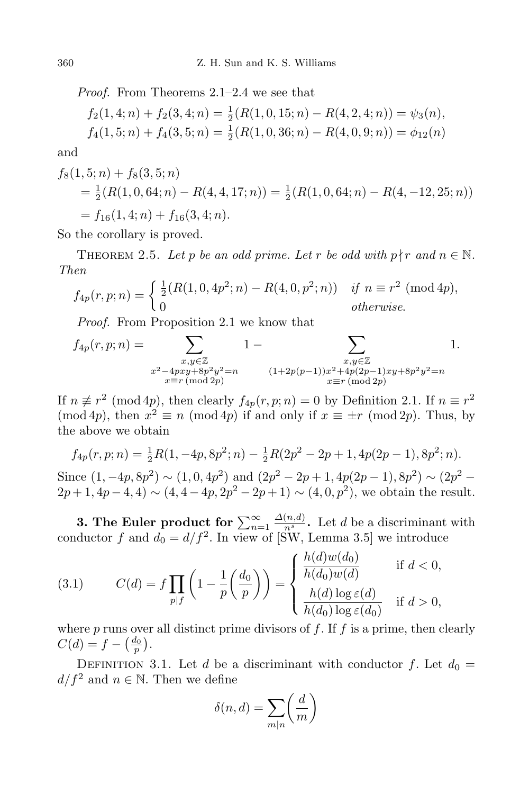*Proof.* From Theorems 2.1–2.4 we see that

$$
f_2(1,4;n) + f_2(3,4;n) = \frac{1}{2}(R(1,0,15;n) - R(4,2,4;n)) = \psi_3(n),
$$
  

$$
f_4(1,5;n) + f_4(3,5;n) = \frac{1}{2}(R(1,0,36;n) - R(4,0,9;n)) = \phi_{12}(n)
$$

and

$$
f_8(1,5;n) + f_8(3,5;n)
$$
  
=  $\frac{1}{2}(R(1,0,64;n) - R(4,4,17;n)) = \frac{1}{2}(R(1,0,64;n) - R(4,-12,25;n))$   
=  $f_{16}(1,4;n) + f_{16}(3,4;n).$ 

So the corollary is proved.

THEOREM 2.5. Let p be an odd prime. Let r be odd with  $p \nmid r$  and  $n \in \mathbb{N}$ . *Then*

$$
f_{4p}(r,p;n) = \begin{cases} \frac{1}{2}(R(1,0,4p^2;n) - R(4,0,p^2;n)) & \text{if } n \equiv r^2 \pmod{4p}, \\ 0 & \text{otherwise.} \end{cases}
$$

*Proof.* From Proposition 2.1 we know that

$$
f_{4p}(r,p;n) = \sum_{\substack{x,y \in \mathbb{Z} \\ x^2 - 4pxy + 8p^2y^2 = n \\ x \equiv r \, (\text{mod } 2p)}} 1 - \sum_{\substack{x,y \in \mathbb{Z} \\ (1+2p(p-1))x^2 + 4p(2p-1)xy + 8p^2y^2 = n}} 1.
$$

If  $n \not\equiv r^2 \pmod{4p}$ , then clearly  $f_{4p}(r, p; n) = 0$  by Definition 2.1. If  $n \equiv r^2$ (mod 4*p*), then  $x^2 \equiv n \pmod{4p}$  if and only if  $x \equiv \pm r \pmod{2p}$ . Thus, by the above we obtain

$$
f_{4p}(r, p; n) = \frac{1}{2}R(1, -4p, 8p^2; n) - \frac{1}{2}R(2p^2 - 2p + 1, 4p(2p - 1), 8p^2; n).
$$
  
Since  $(1, -4p, 8p^2) \sim (1, 0, 4p^2)$  and  $(2p^2 - 2p + 1, 4p(2p - 1), 8p^2) \sim (2p^2 - 2p + 1, 4p - 4, 4) \sim (4, 4 - 4p, 2p^2 - 2p + 1) \sim (4, 0, p^2)$ , we obtain the result.

**3.** The Euler product for  $\sum_{n=1}^{\infty}$  $\frac{\Delta(n,d)}{n^s}$ . Let *d* be a discriminant with conductor  $f$  and  $d_0 = d/f^2$ . In view of [SW, Lemma 3.5] we introduce

(3.1) 
$$
C(d) = f \prod_{p \mid f} \left( 1 - \frac{1}{p} \left( \frac{d_0}{p} \right) \right) = \begin{cases} \frac{h(d)w(d_0)}{h(d_0)w(d)} & \text{if } d < 0, \\ \frac{h(d) \log \varepsilon(d)}{h(d_0) \log \varepsilon(d_0)} & \text{if } d > 0, \end{cases}
$$

where *p* runs over all distinct prime divisors of *f*. If *f* is a prime, then clearly  $C(d) = f - \left(\frac{d_0}{p}\right).$ 

DEFINITION 3.1. Let *d* be a discriminant with conductor *f*. Let  $d_0 =$ *d*/ $f^2$  and *n* ∈ N. Then we define

$$
\delta(n, d) = \sum_{m|n} \left(\frac{d}{m}\right)
$$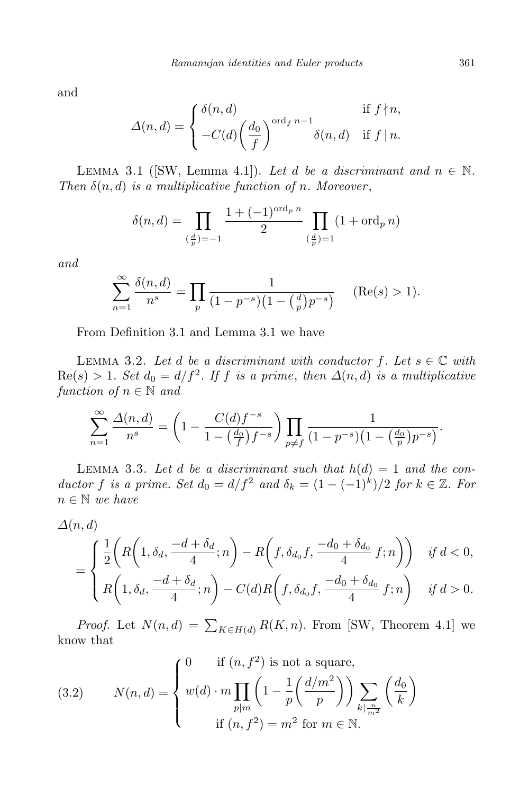and

$$
\Delta(n,d) = \begin{cases} \delta(n,d) & \text{if } f \nmid n, \\ -C(d) \left( \frac{d_0}{f} \right)^{\text{ord}_{f} n-1} \delta(n,d) & \text{if } f \mid n. \end{cases}
$$

LEMMA 3.1 ([SW, Lemma 4.1]). Let *d* be a discriminant and  $n \in \mathbb{N}$ . *Then*  $\delta(n, d)$  *is a multiplicative function of n. Moreover*,

$$
\delta(n,d) = \prod_{\left(\frac{d}{p}\right)=-1} \frac{1+(-1)^{\text{ord}_p n}}{2} \prod_{\left(\frac{d}{p}\right)=1} (1+\text{ord}_p n)
$$

*and*

$$
\sum_{n=1}^{\infty} \frac{\delta(n, d)}{n^s} = \prod_{p} \frac{1}{(1 - p^{-s})(1 - (\frac{d}{p})p^{-s})}
$$
 (Re(s) > 1).

From Definition 3.1 and Lemma 3.1 we have

LEMMA 3.2. Let *d* be a discriminant with conductor  $f$ . Let  $s \in \mathbb{C}$  with  $\text{Re}(s) > 1$ *. Set*  $d_0 = d/f^2$ *. If f is a prime, then*  $\Delta(n, d)$  *is a multiplicative function of*  $n \in \mathbb{N}$  *and* 

$$
\sum_{n=1}^{\infty} \frac{\Delta(n,d)}{n^s} = \left(1 - \frac{C(d)f^{-s}}{1 - \left(\frac{d_0}{f}\right)f^{-s}}\right) \prod_{p \neq f} \frac{1}{(1 - p^{-s})(1 - \left(\frac{d_0}{p}\right)p^{-s})}.
$$

LEMMA 3.3. Let *d* be a discriminant such that  $h(d) = 1$  and the con*ductor f is a prime.* Set  $d_0 = d/f^2$  *and*  $\delta_k = (1 - (-1)^k)/2$  *for*  $k \in \mathbb{Z}$ *. For n ∈* N *we have*

$$
\Delta(n, d)
$$
\n
$$
= \begin{cases}\n\frac{1}{2}\left(R\left(1, \delta_d, \frac{-d + \delta_d}{4}; n\right) - R\left(f, \delta_{d_0}f, \frac{-d_0 + \delta_{d_0}}{4}f; n\right)\right) & \text{if } d < 0, \\
R\left(1, \delta_d, \frac{-d + \delta_d}{4}; n\right) - C(d)R\left(f, \delta_{d_0}f, \frac{-d_0 + \delta_{d_0}}{4}f; n\right) & \text{if } d > 0.\n\end{cases}
$$

*Proof.* Let  $N(n,d) = \sum_{K \in H(d)} R(K,n)$ . From [SW, Theorem 4.1] we know that

(3.2) 
$$
N(n,d) = \begin{cases} 0 & \text{if } (n, f^2) \text{ is not a square,} \\ w(d) \cdot m \prod_{p|m} \left(1 - \frac{1}{p} \left(\frac{d/m^2}{p}\right)\right) \sum_{k \mid \frac{n}{m^2}} \left(\frac{d_0}{k}\right) \\ \text{if } (n, f^2) = m^2 \text{ for } m \in \mathbb{N}. \end{cases}
$$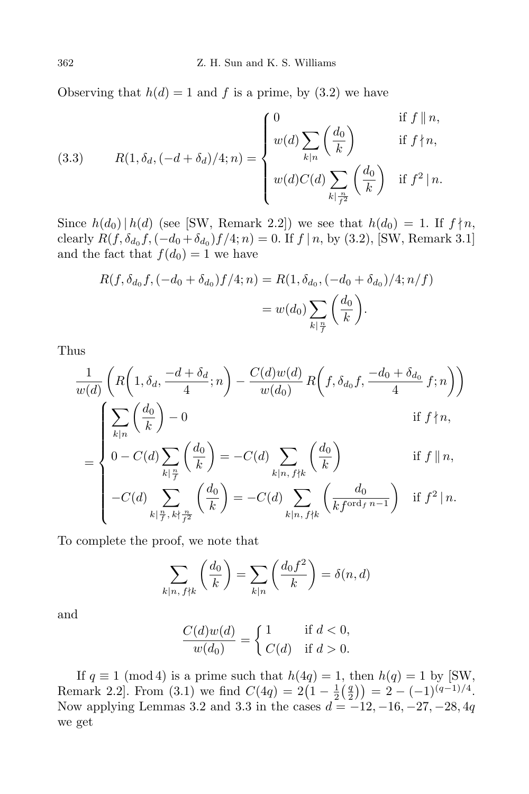Observing that  $h(d) = 1$  and f is a prime, by  $(3.2)$  we have

(3.3) 
$$
R(1, \delta_d, (-d + \delta_d)/4; n) = \begin{cases} 0 & \text{if } f \parallel n, \\ w(d) \sum_{k|n} \left(\frac{d_0}{k}\right) & \text{if } f \nmid n, \\ w(d)C(d) \sum_{k|\frac{n}{f^2}} \left(\frac{d_0}{k}\right) & \text{if } f^2 \mid n. \end{cases}
$$

Since  $h(d_0) | h(d)$  (see [SW, Remark 2.2]) we see that  $h(d_0) = 1$ . If  $f \nmid n$ , clearly  $R(f, \delta_{d_0}f, (-d_0 + \delta_{d_0})f/4; n) = 0$ . If  $f | n$ , by (3.2), [SW, Remark 3.1] and the fact that  $f(d_0) = 1$  we have

$$
R(f, \delta_{d_0} f, (-d_0 + \delta_{d_0}) f/4; n) = R(1, \delta_{d_0}, (-d_0 + \delta_{d_0})/4; n/f)
$$
  
=  $w(d_0) \sum_{k|\frac{n}{f}} \left(\frac{d_0}{k}\right).$ 

Thus

$$
\frac{1}{w(d)}\left(R\left(1,\delta_d,\frac{-d+\delta_d}{4};n\right)-\frac{C(d)w(d)}{w(d_0)}R\left(f,\delta_{d_0}f,\frac{-d_0+\delta_{d_0}}{4}f;n\right)\right)
$$

$$
\left(\sum_{k|n}\left(\frac{d_0}{k}\right)-0\right)
$$
if  $f\nmid n$ ,

$$
\frac{\sum_{k|n} \left(\frac{\overline{k}}{k}\right) - 0}{0 - C(d) \sum_{k|\frac{n}{f}} \left(\frac{d_0}{k}\right) = -C(d) \sum_{k|n, f \nmid k} \left(\frac{d_0}{k}\right) \quad \text{if } f \parallel n,
$$
\n
$$
-C(d) \sum_{k|\frac{n}{f}} \left(\frac{d_0}{k}\right) = -C(d) \sum_{k|\frac{n}{f}|n} \left(\frac{d_0}{k}\right) \quad \text{if } f^2 \mid n.
$$

$$
-C(d) \sum_{k|\frac{n}{f}, k|\frac{n}{f^2}}^{\infty} \left(\frac{d_0}{k}\right) = -C(d) \sum_{k|n, f\nmid k} \left(\frac{d_0}{kf^{\text{ord}_f n - 1}}\right) \text{ if } f^2 | n
$$

To complete the proof, we note that

$$
\sum_{k|n,\,f\nmid k} \left(\frac{d_0}{k}\right) = \sum_{k|n} \left(\frac{d_0 f^2}{k}\right) = \delta(n,d)
$$

and

$$
\frac{C(d)w(d)}{w(d_0)} = \begin{cases} 1 & \text{if } d < 0, \\ C(d) & \text{if } d > 0. \end{cases}
$$

If  $q \equiv 1 \pmod{4}$  is a prime such that  $h(4q) = 1$ , then  $h(q) = 1$  by [SW, Remark 2.2]. From (3.1) we find  $C(4q) = 2(1 - \frac{1}{2})$  $rac{1}{2}$  $\left(\frac{q}{2}\right)$  $\left(\frac{q}{2}\right)$ ) = 2 – (-1)<sup>(q-1)/4</sup>. Now applying Lemmas 3.2 and 3.3 in the cases *d* = *−*12*, −*16*, −*27*, −*28*,* 4*q* we get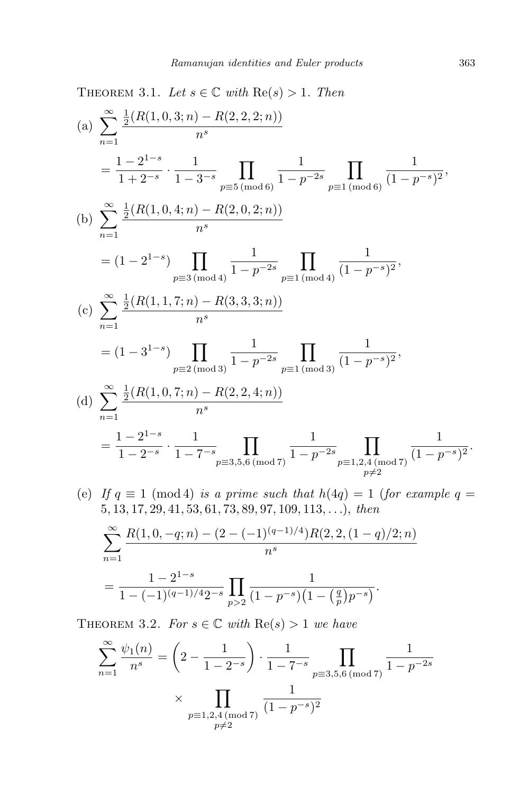THEOREM 3.1. Let  $s \in \mathbb{C}$  with  $\text{Re}(s) > 1$ . Then (a)  $\sum_{1}^{\infty} \frac{1}{2}$ *n*=1  $\frac{1}{2}(R(1,0,3;n)-R(2,2,2;n))$ *ns*  $=\frac{1-2^{1-s}}{1+2^{-s}}$  $\frac{1+2^{-s}}{s}$ 1 1 *−* 3*−<sup>s</sup>*  $\Pi$ *p≡*5 (mod 6) 1 1 *− p−*2*<sup>s</sup>*  $\Pi$ *p≡*1 (mod 6) 1  $\frac{1}{(1-p^{-s})^2}$ (b)  $\sum_{1}^{\infty} \frac{1}{2}$ *n*=1  $\frac{1}{2}(R(1,0,4;n)-R(2,0,2;n))$ *ns*  $=(1-2^{1-s})$  II *p≡*3 (mod 4) 1 1 *− p−*2*<sup>s</sup>*  $\prod$ *p≡*1 (mod 4) 1  $\frac{1}{(1-p^{-s})^2}$  $(c)$   $\sum_{1}^{\infty} \frac{1}{2}$ *n*=1  $\frac{1}{2}(R(1,1,7;n)-R(3,3,3;n))$ *ns*  $=(1-3^{1-s})$  II *p≡*2 (mod 3) 1 1 *− p−*2*<sup>s</sup>*  $\prod$ *p≡*1 (mod 3) 1  $\frac{1}{(1-p^{-s})^2}$ (d)  $\sum_{1}^{\infty} \frac{1}{2}$ *n*=1  $\frac{1}{2}(R(1,0,7;n)-R(2,2,4;n))$ *ns*  $=\frac{1-2^{1-s}}{1-2^{-s}}$  $\frac{1-2^{-s}}{s}$ 1 1 *−* 7*−<sup>s</sup>*  $\Pi$ *p≡*3*,*5*,*6 (mod 7) 1 1 *− p−*2*<sup>s</sup>*  $\Pi$ *p≡*1*,*2*,*4 (mod 7) *p*≠2 1  $\frac{1}{(1-p^{-s})^2}$ .

(e) If 
$$
q \equiv 1 \pmod{4}
$$
 is a prime such that  $h(4q) = 1$  (for example  $q = 5, 13, 17, 29, 41, 53, 61, 73, 89, 97, 109, 113, ...$ ), then

$$
\sum_{n=1}^{\infty} \frac{R(1,0,-q;n) - (2 - (-1)^{(q-1)/4})R(2,2,(1-q)/2;n)}{n^s}
$$
  
= 
$$
\frac{1 - 2^{1-s}}{1 - (-1)^{(q-1)/4}2^{-s}} \prod_{p>2} \frac{1}{(1 - p^{-s})(1 - (\frac{q}{p})p^{-s})}.
$$

THEOREM 3.2. *For*  $s \in \mathbb{C}$  *with*  $\text{Re}(s) > 1$  *we have* 

$$
\sum_{n=1}^{\infty} \frac{\psi_1(n)}{n^s} = \left(2 - \frac{1}{1 - 2^{-s}}\right) \cdot \frac{1}{1 - 7^{-s}} \prod_{\substack{p \equiv 3, 5, 6 \pmod{7} \\ p \equiv 1, 2, 4 \pmod{7}}} \frac{1}{1 - p^{-2s}}
$$

$$
\times \prod_{\substack{p \equiv 1, 2, 4 \pmod{7} \\ p \neq 2}} \frac{1}{(1 - p^{-s})^2}
$$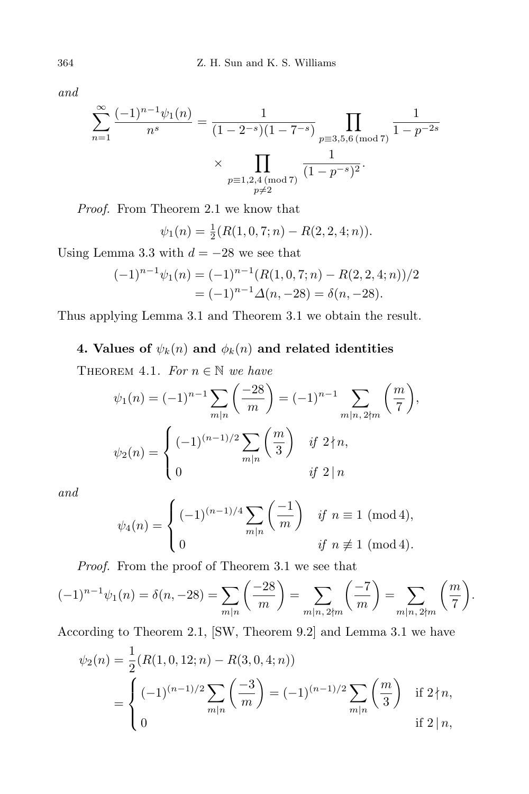*and*

$$
\sum_{n=1}^{\infty} \frac{(-1)^{n-1} \psi_1(n)}{n^s} = \frac{1}{(1-2^{-s})(1-7^{-s})} \prod_{\substack{p\equiv 3,5,6 \pmod{7} \\ p\equiv 1,2,4 \pmod{7}}} \frac{1}{1-p^{-2s}}
$$

$$
\times \prod_{\substack{p\equiv 1,2,4 \pmod{7} \\ p\neq 2}} \frac{1}{(1-p^{-s})^2}.
$$

*Proof.* From Theorem 2.1 we know that

$$
\psi_1(n) = \frac{1}{2}(R(1,0,7;n) - R(2,2,4;n)).
$$

Using Lemma 3.3 with  $d = -28$  we see that

$$
(-1)^{n-1}\psi_1(n) = (-1)^{n-1}(R(1,0,7;n) - R(2,2,4;n))/2
$$
  
=  $(-1)^{n-1}\Delta(n,-28) = \delta(n,-28).$ 

Thus applying Lemma 3.1 and Theorem 3.1 we obtain the result.

## **4. Values of**  $\psi_k(n)$  and  $\phi_k(n)$  and related identities

THEOREM 4.1. For  $n \in \mathbb{N}$  we have

$$
\psi_1(n) = (-1)^{n-1} \sum_{m|n} \left( \frac{-28}{m} \right) = (-1)^{n-1} \sum_{m|n, 2\nmid m} \left( \frac{m}{7} \right),
$$

$$
\psi_2(n) = \begin{cases} (-1)^{(n-1)/2} \sum_{m|n} \left( \frac{m}{3} \right) & \text{if } 2 \nmid n, \\ 0 & \text{if } 2 \mid n \end{cases}
$$

*and*

$$
\psi_4(n) = \begin{cases} (-1)^{(n-1)/4} \sum_{m|n} \left( \frac{-1}{m} \right) & \text{if } n \equiv 1 \pmod{4}, \\ 0 & \text{if } n \not\equiv 1 \pmod{4}. \end{cases}
$$

*Proof.* From the proof of Theorem 3.1 we see that

$$
(-1)^{n-1}\psi_1(n) = \delta(n, -28) = \sum_{m|n} \left(\frac{-28}{m}\right) = \sum_{m|n, 2\nmid m} \left(\frac{-7}{m}\right) = \sum_{m|n, 2\nmid m} \left(\frac{m}{7}\right).
$$

According to Theorem 2.1, [SW, Theorem 9.2] and Lemma 3.1 we have

$$
\psi_2(n) = \frac{1}{2}(R(1,0,12;n) - R(3,0,4;n))
$$
  
= 
$$
\begin{cases} (-1)^{(n-1)/2} \sum_{m|n} \left(\frac{-3}{m}\right) = (-1)^{(n-1)/2} \sum_{m|n} \left(\frac{m}{3}\right) & \text{if } 2 \nmid n, \\ 0 & \text{if } 2 \mid n, \end{cases}
$$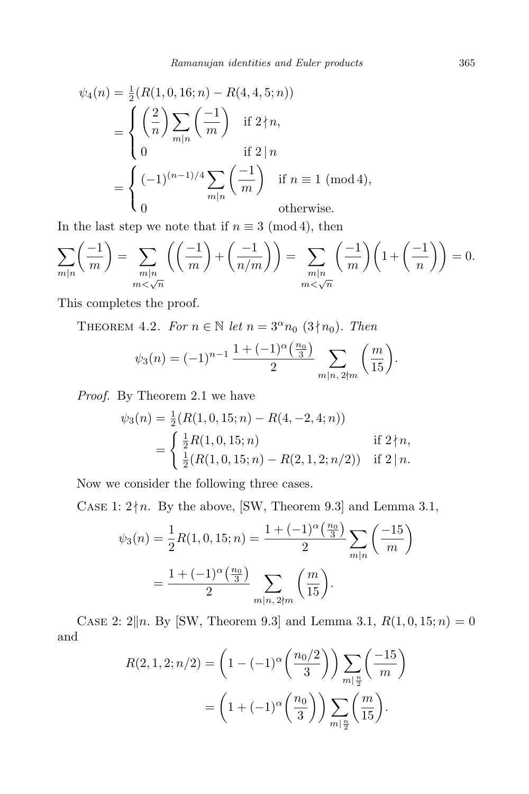$$
\psi_4(n) = \frac{1}{2}(R(1, 0, 16; n) - R(4, 4, 5; n))
$$
  
= 
$$
\begin{cases} \left(\frac{2}{n}\right) \sum_{m|n} \left(\frac{-1}{m}\right) & \text{if } 2 \nmid n, \\ 0 & \text{if } 2 \mid n \end{cases}
$$
  
= 
$$
\begin{cases} (-1)^{(n-1)/4} \sum_{m|n} \left(\frac{-1}{m}\right) & \text{if } n \equiv 1 \pmod{4}, \\ 0 & \text{otherwise.} \end{cases}
$$

In the last step we note that if  $n \equiv 3 \pmod{4}$ , then

$$
\sum_{m|n} \left( \frac{-1}{m} \right) = \sum_{\substack{m|n \\ m < \sqrt{n}}} \left( \left( \frac{-1}{m} \right) + \left( \frac{-1}{n/m} \right) \right) = \sum_{\substack{m|n \\ m < \sqrt{n}}} \left( \frac{-1}{m} \right) \left( 1 + \left( \frac{-1}{n} \right) \right) = 0.
$$

This completes the proof.

**THEOREM 4.2.** *For*  $n \in \mathbb{N}$  *let*  $n = 3^{\alpha}n_0$  (3 $\nmid n_0$ )*. Then* 

$$
\psi_3(n) = (-1)^{n-1} \frac{1 + (-1)^{\alpha} \left(\frac{n_0}{3}\right)}{2} \sum_{m|n, 2 \nmid m} \left(\frac{m}{15}\right).
$$

*Proof.* By Theorem 2.1 we have

$$
\psi_3(n) = \frac{1}{2}(R(1, 0, 15; n) - R(4, -2, 4; n))
$$
  
= 
$$
\begin{cases} \frac{1}{2}R(1, 0, 15; n) & \text{if } 2 \nmid n, \\ \frac{1}{2}(R(1, 0, 15; n) - R(2, 1, 2; n/2)) & \text{if } 2 \mid n. \end{cases}
$$

Now we consider the following three cases.

CASE 1:  $2 \nmid n$ . By the above, [SW, Theorem 9.3] and Lemma 3.1,

$$
\psi_3(n) = \frac{1}{2}R(1, 0, 15; n) = \frac{1 + (-1)^{\alpha} \left(\frac{n_0}{3}\right)}{2} \sum_{m|n} \left(\frac{-15}{m}\right)
$$

$$
= \frac{1 + (-1)^{\alpha} \left(\frac{n_0}{3}\right)}{2} \sum_{m|n, 2\nmid m} \left(\frac{m}{15}\right).
$$

CASE 2:  $2||n.$  By [SW, Theorem 9.3] and Lemma 3.1,  $R(1,0,15;n) = 0$ and

$$
R(2, 1, 2; n/2) = \left(1 - (-1)^{\alpha} \left(\frac{n_0/2}{3}\right)\right) \sum_{m|\frac{n}{2}} \left(\frac{-15}{m}\right)
$$

$$
= \left(1 + (-1)^{\alpha} \left(\frac{n_0}{3}\right)\right) \sum_{m|\frac{n}{2}} \left(\frac{m}{15}\right).
$$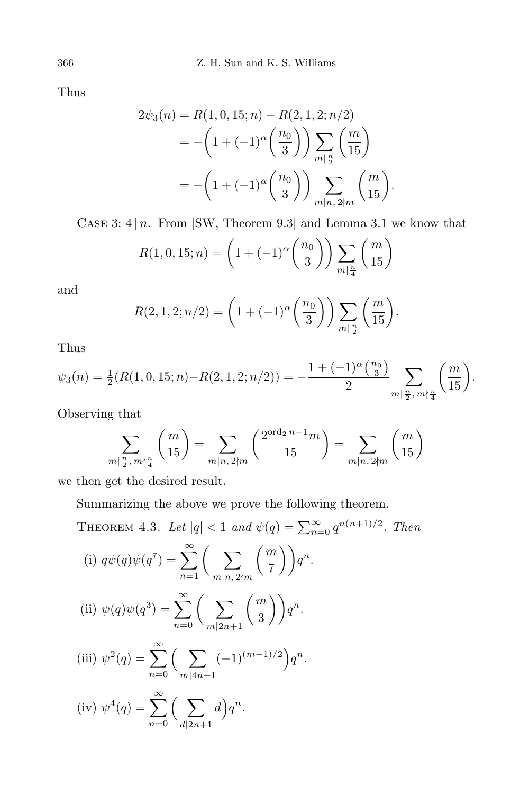Thus

$$
2\psi_3(n) = R(1, 0, 15; n) - R(2, 1, 2; n/2)
$$
  
=  $-\left(1 + (-1)^{\alpha} \left(\frac{n_0}{3}\right)\right) \sum_{m|\frac{n}{2}} \left(\frac{m}{15}\right)$   
=  $-\left(1 + (-1)^{\alpha} \left(\frac{n_0}{3}\right)\right) \sum_{m|n, 2\nmid m} \left(\frac{m}{15}\right).$ 

CASE 3:  $4 | n$ . From [SW, Theorem 9.3] and Lemma 3.1 we know that

$$
R(1,0,15;n) = \left(1 + (-1)^{\alpha} \left(\frac{n_0}{3}\right)\right) \sum_{m|\frac{n}{4}} \left(\frac{m}{15}\right)
$$

and

$$
R(2, 1, 2; n/2) = \left(1 + (-1)^{\alpha} \left(\frac{n_0}{3}\right)\right) \sum_{m \mid \frac{n}{2}} \left(\frac{m}{15}\right).
$$

Thus

$$
\psi_3(n) = \frac{1}{2}(R(1,0,15;n) - R(2,1,2;n/2)) = -\frac{1 + (-1)^{\alpha} \left(\frac{n_0}{3}\right)}{2} \sum_{m \mid \frac{n}{2}, m \nmid \frac{n}{4}} \left(\frac{m}{15}\right).
$$

Observing that

$$
\sum_{m|\frac{n}{2}, m\nmid \frac{n}{4}} \left(\frac{m}{15}\right) = \sum_{m|n, 2\nmid m} \left(\frac{2^{\text{ord}_2 n - 1} m}{15}\right) = \sum_{m|n, 2\nmid m} \left(\frac{m}{15}\right)
$$

we then get the desired result.

Summarizing the above we prove the following theorem.

THEOREM 4.3. Let 
$$
|q| < 1
$$
 and  $\psi(q) = \sum_{n=0}^{\infty} q^{n(n+1)/2}$ . Then  
\n(i)  $q\psi(q)\psi(q^7) = \sum_{n=1}^{\infty} \left(\sum_{m|n, 2\nmid m} {m \choose 7} q^n$ .  
\n(ii)  $\psi(q)\psi(q^3) = \sum_{n=0}^{\infty} \left(\sum_{m|2n+1} {m \choose 3} q^n$ .  
\n(iii)  $\psi^2(q) = \sum_{n=0}^{\infty} \left(\sum_{m|4n+1} (-1)^{(m-1)/2} q^n\right)$ .  
\n(iv)  $\psi^4(q) = \sum_{n=0}^{\infty} \left(\sum_{d|2n+1} d \right) q^n$ .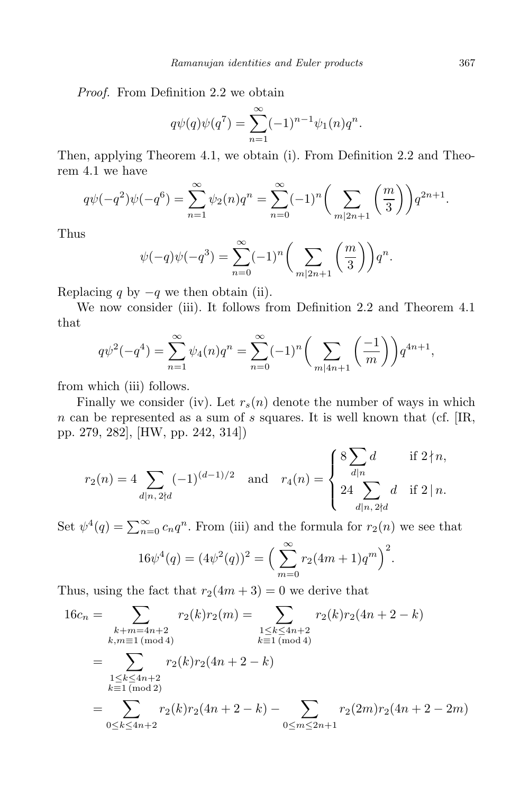*Proof.* From Definition 2.2 we obtain

$$
q\psi(q)\psi(q^7) = \sum_{n=1}^{\infty} (-1)^{n-1} \psi_1(n) q^n.
$$

Then, applying Theorem 4.1, we obtain (i). From Definition 2.2 and Theorem 4.1 we have

$$
q\psi(-q^2)\psi(-q^6) = \sum_{n=1}^{\infty} \psi_2(n)q^n = \sum_{n=0}^{\infty} (-1)^n \left(\sum_{m|2n+1} \left(\frac{m}{3}\right)\right) q^{2n+1}.
$$

Thus

$$
\psi(-q)\psi(-q^{3}) = \sum_{n=0}^{\infty} (-1)^{n} \left(\sum_{m|2n+1} {m \choose 3} \right) q^{n}.
$$

Replacing *q* by  $-q$  we then obtain (ii).

We now consider (iii). It follows from Definition 2.2 and Theorem 4.1 that

$$
q\psi^{2}(-q^{4}) = \sum_{n=1}^{\infty} \psi_{4}(n)q^{n} = \sum_{n=0}^{\infty} (-1)^{n} \left(\sum_{m|4n+1} \left(\frac{-1}{m}\right)\right) q^{4n+1},
$$

from which (iii) follows.

Finally we consider (iv). Let  $r_s(n)$  denote the number of ways in which *n* can be represented as a sum of *s* squares. It is well known that (cf. [IR, pp. 279, 282], [HW, pp. 242, 314])

$$
r_2(n) = 4 \sum_{d|n, 2 \nmid d} (-1)^{(d-1)/2} \quad \text{and} \quad r_4(n) = \begin{cases} 8 \sum_{d|n} d & \text{if } 2 \nmid n, \\ 24 \sum_{d|n, 2 \nmid d} d & \text{if } 2 \mid n. \end{cases}
$$

Set  $\psi^4(q) = \sum_{n=0}^{\infty} c_n q^n$ . From (iii) and the formula for  $r_2(n)$  we see that

$$
16\psi^4(q) = (4\psi^2(q))^2 = \left(\sum_{m=0}^{\infty} r_2(4m+1)q^m\right)^2.
$$

Thus, using the fact that  $r_2(4m + 3) = 0$  we derive that

$$
16c_n = \sum_{\substack{k+m=4n+2\\k,m\equiv 1 \pmod{4}}} r_2(k)r_2(m) = \sum_{\substack{1 \le k \le 4n+2\\k \equiv 1 \pmod{4}}} r_2(k)r_2(4n+2-k)
$$

$$
= \sum_{\substack{1 \le k \le 4n+2\\k \equiv 1 \pmod{2}}} r_2(k)r_2(4n+2-k)
$$

$$
= \sum_{0 \le k \le 4n+2} r_2(k)r_2(4n+2-k) - \sum_{0 \le m \le 2n+1} r_2(2m)r_2(4n+2-2m)
$$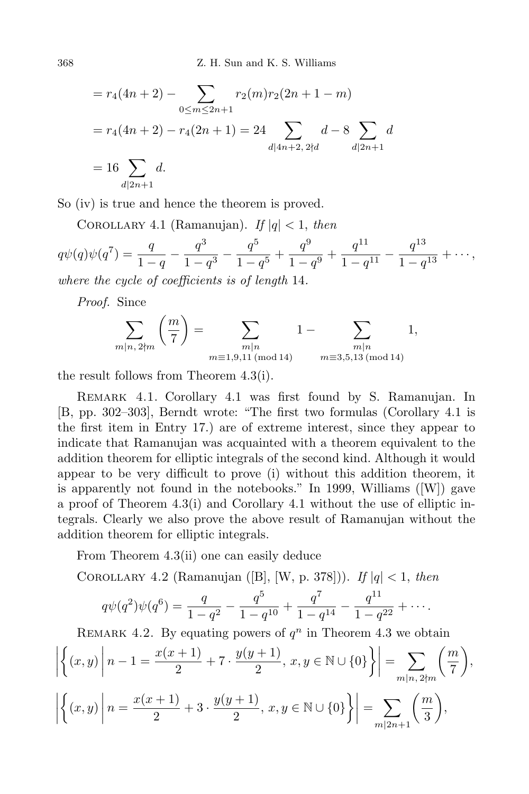368 Z. H. Sun and K. S. Williams

$$
= r_4(4n+2) - \sum_{0 \le m \le 2n+1} r_2(m)r_2(2n+1-m)
$$
  
=  $r_4(4n+2) - r_4(2n+1) = 24 \sum_{d|4n+2, 2 \nmid d} d - 8 \sum_{d|2n+1} d$   
= 16  $\sum_{d|2n+1} d$ .

So (iv) is true and hence the theorem is proved.

COROLLARY 4.1 (Ramanujan). *If*  $|q| < 1$ , *then* 

$$
q\psi(q)\psi(q^7) = \frac{q}{1-q} - \frac{q^3}{1-q^3} - \frac{q^5}{1-q^5} + \frac{q^9}{1-q^9} + \frac{q^{11}}{1-q^{11}} - \frac{q^{13}}{1-q^{13}} + \cdots,
$$
  
where the cycle of coefficients is of length 14.

*where the cycle of coefficients is of length* 14*.*

*Proof.* Since

$$
\sum_{m|n, 2\nmid m} \left(\frac{m}{7}\right) = \sum_{\substack{m|n \ m \equiv 1, 9, 11 \pmod{14}}} 1 - \sum_{\substack{m|n \ m \equiv 3, 5, 13 \pmod{14}}} 1,
$$

the result follows from Theorem 4.3(i).

Remark 4.1. Corollary 4.1 was first found by S. Ramanujan. In [B, pp. 302–303], Berndt wrote: "The first two formulas (Corollary 4.1 is the first item in Entry 17.) are of extreme interest, since they appear to indicate that Ramanujan was acquainted with a theorem equivalent to the addition theorem for elliptic integrals of the second kind. Although it would appear to be very difficult to prove (i) without this addition theorem, it is apparently not found in the notebooks." In 1999, Williams ([W]) gave a proof of Theorem 4.3(i) and Corollary 4.1 without the use of elliptic integrals. Clearly we also prove the above result of Ramanujan without the addition theorem for elliptic integrals.

From Theorem 4.3(ii) one can easily deduce

Corollary 4.2 (Ramanujan ([B], [W, p. 378])). *If <sup>|</sup>q<sup>|</sup> <sup>&</sup>lt;* 1, *then*

$$
q\psi(q^2)\psi(q^6) = \frac{q}{1-q^2} - \frac{q^5}{1-q^{10}} + \frac{q^7}{1-q^{14}} - \frac{q^{11}}{1-q^{22}} + \cdots
$$

REMARK 4.2. By equating powers of  $q^n$  in Theorem 4.3 we obtain

$$
\left| \left\{ (x,y) \middle| n-1 = \frac{x(x+1)}{2} + 7 \cdot \frac{y(y+1)}{2}, x, y \in \mathbb{N} \cup \{0\} \right\} \right| = \sum_{m|n, 2 \nmid m} \left( \frac{m}{7} \right),
$$
  

$$
\left| \left\{ (x,y) \middle| n = \frac{x(x+1)}{2} + 3 \cdot \frac{y(y+1)}{2}, x, y \in \mathbb{N} \cup \{0\} \right\} \right| = \sum_{m|2n+1} \left( \frac{m}{3} \right),
$$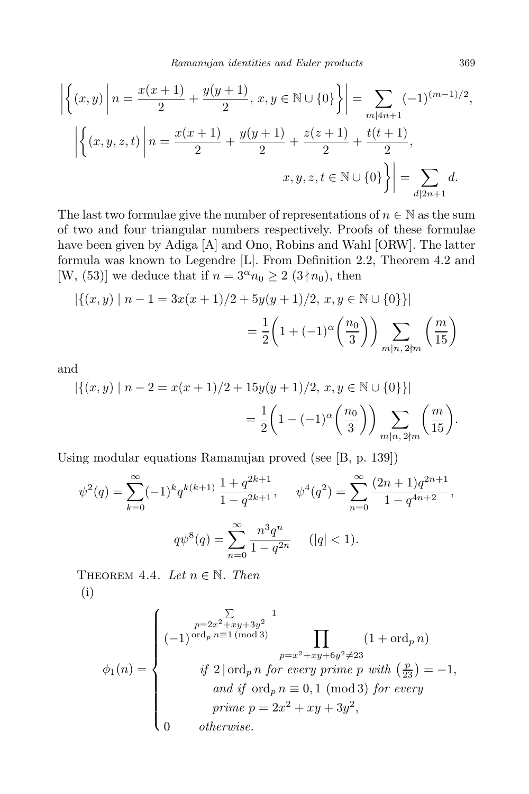*Ramanujan identities and Euler products* 369

$$
\left| \left\{ (x,y) \middle| n = \frac{x(x+1)}{2} + \frac{y(y+1)}{2}, x, y \in \mathbb{N} \cup \{0\} \right\} \right| = \sum_{m|4n+1} (-1)^{(m-1)/2},
$$

$$
\left| \left\{ (x,y,z,t) \middle| n = \frac{x(x+1)}{2} + \frac{y(y+1)}{2} + \frac{z(z+1)}{2} + \frac{t(t+1)}{2}, x, y, z, t \in \mathbb{N} \cup \{0\} \right\} \right| = \sum_{d|2n+1} d.
$$

The last two formulae give the number of representations of  $n \in \mathbb{N}$  as the sum of two and four triangular numbers respectively. Proofs of these formulae have been given by Adiga [A] and Ono, Robins and Wahl [ORW]. The latter formula was known to Legendre [L]. From Definition 2.2, Theorem 4.2 and [W, (53)] we deduce that if  $n = 3^{\alpha}n_0 \geq 2$  (3 $\nmid n_0$ ), then

$$
\left| \{(x,y) \mid n-1 = 3x(x+1)/2 + 5y(y+1)/2, x, y \in \mathbb{N} \cup \{0\} \} \right|
$$

$$
= \frac{1}{2} \left( 1 + (-1)^{\alpha} \left( \frac{n_0}{3} \right) \right) \sum_{m|n, 2 \nmid m} \left( \frac{m}{15} \right)
$$

and

$$
\left| \{(x,y) \mid n-2 = x(x+1)/2 + 15y(y+1)/2, x, y \in \mathbb{N} \cup \{0\} \} \right|
$$
  
= 
$$
\frac{1}{2} \left( 1 - (-1)^{\alpha} \left( \frac{n_0}{3} \right) \right) \sum_{m|n, 2 \nmid m} \left( \frac{m}{15} \right).
$$

Using modular equations Ramanujan proved (see [B, p. 139])

$$
\psi^2(q) = \sum_{k=0}^{\infty} (-1)^k q^{k(k+1)} \frac{1+q^{2k+1}}{1-q^{2k+1}}, \quad \psi^4(q^2) = \sum_{n=0}^{\infty} \frac{(2n+1)q^{2n+1}}{1-q^{4n+2}},
$$

$$
q\psi^8(q) = \sum_{n=0}^{\infty} \frac{n^3 q^n}{1-q^{2n}} \quad (|q| < 1).
$$

THEOREM 4.4. *Let*  $n \in \mathbb{N}$ . *Then* (i)

$$
\phi_1(n) = \begin{cases}\n\sum_{p=2x^2+xy+3y^2} 1 \\
(-1)^{\operatorname{ord}_p n \equiv 1 \pmod{3}} \prod_{p=x^2+xy+6y^2 \neq 23} (1 + \operatorname{ord}_p n) \\
\text{if } 2 | \operatorname{ord}_p n \text{ for every prime } p \text{ with } \left(\frac{p}{23}\right) = -1, \\
\text{and if } \operatorname{ord}_p n \equiv 0, 1 \pmod{3} \text{ for every prime } p = 2x^2 + xy + 3y^2, \\
0 \quad \text{otherwise.} \n\end{cases}
$$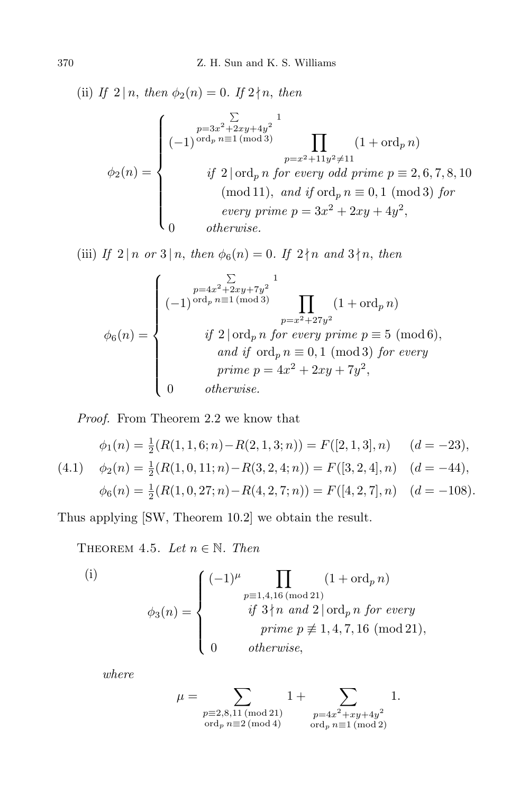(ii) *If*  $2 | n$ , *then*  $\phi_2(n) = 0$ *. If*  $2 \nmid n$ *, then*  $\phi_2(n) =$  $\sqrt{ }$  $\begin{array}{c} \hline \end{array}$  $\begin{array}{c} \hline \end{array}$ (*−*1)  $\sum$ *p*=3*x* <sup>2</sup>+2*xy*+4*y* 2 ord*<sup>p</sup> n≡*1 (mod 3) 1  $\prod$  $p=x^2+11y^2 \neq 11$  $(1 + \operatorname{ord}_p n)$ *if*  $2 | \text{ord}_p n$  *for every odd prime*  $p \equiv 2, 6, 7, 8, 10$  $(mod 11)$ *, and if*  $ord_p n \equiv 0, 1 \pmod{3}$  *for every prime*  $p = 3x^2 + 2xy + 4y^2$ , 0 *otherwise.*

(iii) *If*  $2 | n \text{ or } 3 | n$ , *then*  $\phi_6(n) = 0$ . *If*  $2 | n \text{ and } 3 | n$ , *then* 

$$
\phi_6(n) = \begin{cases}\n\sum_{p=4x^2+2xy+7y^2} 1 \\
(-1)^{\text{ord}_p n \equiv 1 \pmod{3}} \prod_{p=x^2+27y^2} (1+\text{ord}_p n) \\
\text{if } 2 | \text{ord}_p n \text{ for every prime } p \equiv 5 \pmod{6}, \\
\text{and if } \text{ord}_p n \equiv 0, 1 \pmod{3} \text{ for every prime } p = 4x^2 + 2xy + 7y^2, \\
0 \qquad \text{otherwise.} \n\end{cases}
$$

*Proof.* From Theorem 2.2 we know that

$$
\phi_1(n) = \frac{1}{2}(R(1, 1, 6; n) - R(2, 1, 3; n)) = F([2, 1, 3], n) \quad (d = -23),
$$
  
(4.1) 
$$
\phi_2(n) = \frac{1}{2}(R(1, 0, 11; n) - R(3, 2, 4; n)) = F([3, 2, 4], n) \quad (d = -44),
$$
  

$$
\phi_6(n) = \frac{1}{2}(R(1, 0, 27; n) - R(4, 2, 7; n)) = F([4, 2, 7], n) \quad (d = -108).
$$

Thus applying [SW, Theorem 10.2] we obtain the result.

THEOREM 4.5. Let  $n \in \mathbb{N}$ . Then

(i)  
\n
$$
\phi_3(n) = \begin{cases}\n(-1)^{\mu} \prod_{\substack{p \equiv 1,4,16 \pmod{21} \\ \text{if } 3 \nmid n \text{ and } 2 \mid \text{ord}_p n \text{ for every } \\ \text{prime } p \not\equiv 1,4,7,16 \pmod{21}, \\ 0 \qquad \text{otherwise,} \end{cases}
$$

*where*

$$
\mu = \sum_{\substack{p \equiv 2,8,11 \text{ (mod 21)}\\ \text{ord}_p \ n \equiv 2 \text{ (mod 4)}} 1 + \sum_{\substack{p = 4x^2 + xy + 4y^2\\ \text{ord}_p \ n \equiv 1 \text{ (mod 2)}}} 1.
$$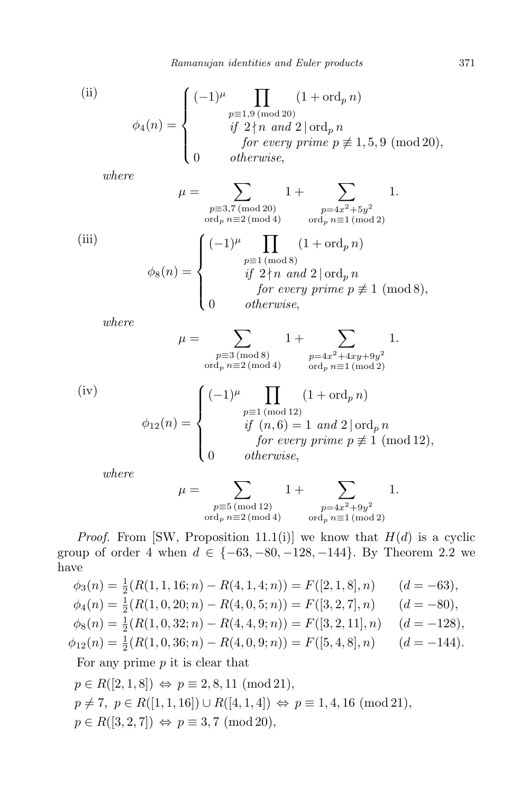*Ramanujan identities and Euler products* 371

(ii)  
\n
$$
\phi_4(n) = \begin{cases}\n(-1)^{\mu} \prod_{\substack{p \equiv 1, 9 \pmod{20} \\ \text{if } 2 \nmid n \text{ and } 2 \mid \text{ord}_p n}} (1 + \text{ord}_p n) \\
\text{if } 2 \nmid n \text{ and } 2 \mid \text{ord}_p n \\
\text{for every prime } p \not\equiv 1, 5, 9 \pmod{20}, \\
0 \qquad \text{otherwise,} \n\end{cases}
$$

*where*

$$
\mu = \sum_{\substack{p\equiv 3,7 \pmod{20} \\ \text{ord}_p \ n\equiv 2 \pmod{4}}} 1 + \sum_{\substack{p=4x^2+5y^2 \\ \text{ord}_p \ n\equiv 1 \pmod{2}}} 1.
$$
\n(iii)\n
$$
\phi_8(n) = \begin{cases}\n(-1)^{\mu} \prod_{\substack{p\equiv 1 \pmod{8} \\ \text{if } 2 \nmid n \text{ and } 2 \mid \text{ord}_p \ n}} (1 + \text{ord}_p n) \\
\text{for every prime } p \not\equiv 1 \pmod{8}, \\
0 \qquad \text{otherwise,} \n\end{cases}
$$

*where*

$$
\mu = \sum_{\substack{p \equiv 3 \pmod{8} \\ \text{ord}_p \ n \equiv 2 \pmod{4}}} 1 + \sum_{\substack{p = 4x^2 + 4xy + 9y^2 \\ \text{ord}_p \ n \equiv 1 \pmod{2}}} 1.
$$

(iv)  
\n
$$
\phi_{12}(n) = \begin{cases}\n(-1)^{\mu} \prod_{\substack{p \equiv 1 \pmod{12} \\ \text{if } (n, 6) = 1 \text{ and } 2 \mid \text{ord}_p \, n}}\n\end{cases}
$$
\n
$$
\phi_{12}(n) = \begin{cases}\n(-1)^{\mu} \prod_{\substack{p \equiv 1 \pmod{12} \\ \text{if } (n, 6) = 1 \text{ and } 2 \mid \text{ord}_p \, n}}\n\end{cases}
$$
\n
$$
\text{for every prime } p \not\equiv 1 \pmod{12},
$$
\n
$$
\text{otherwise,}
$$

*where*

$$
\mu = \sum_{\substack{p \equiv 5 \pmod{12} \\ \text{ord}_p \ n \equiv 2 \pmod{4}}} 1 + \sum_{\substack{p = 4x^2 + 9y^2 \\ \text{ord}_p \ n \equiv 1 \pmod{2}}} 1.
$$

*Proof.* From [SW, Proposition 11.1(i)] we know that  $H(d)$  is a cyclic group of order 4 when *d ∈ {−*63*, −*80*, −*128*, −*144*}*. By Theorem 2.2 we have

$$
\phi_3(n) = \frac{1}{2}(R(1, 1, 16; n) - R(4, 1, 4; n)) = F([2, 1, 8], n) \qquad (d = -63),
$$
  
\n
$$
\phi_4(n) = \frac{1}{2}(R(1, 0, 20; n) - R(4, 0, 5; n)) = F([3, 2, 7], n) \qquad (d = -80),
$$
  
\n
$$
\phi_8(n) = \frac{1}{2}(R(1, 0, 32; n) - R(4, 4, 9; n)) = F([3, 2, 11], n) \qquad (d = -128),
$$
  
\n
$$
\phi_{12}(n) = \frac{1}{2}(R(1, 0, 36; n) - R(4, 0, 9; n)) = F([5, 4, 8], n) \qquad (d = -144).
$$

For any prime *p* it is clear that

 $p \in R([2, 1, 8]) \Leftrightarrow p \equiv 2, 8, 11 \pmod{21}$ ,  $p \neq 7$ ,  $p \in R([1, 1, 16]) \cup R([4, 1, 4]) \Leftrightarrow p \equiv 1, 4, 16 \pmod{21}$ ,  $p \in R([3, 2, 7]) \Leftrightarrow p \equiv 3, 7 \pmod{20}$ ,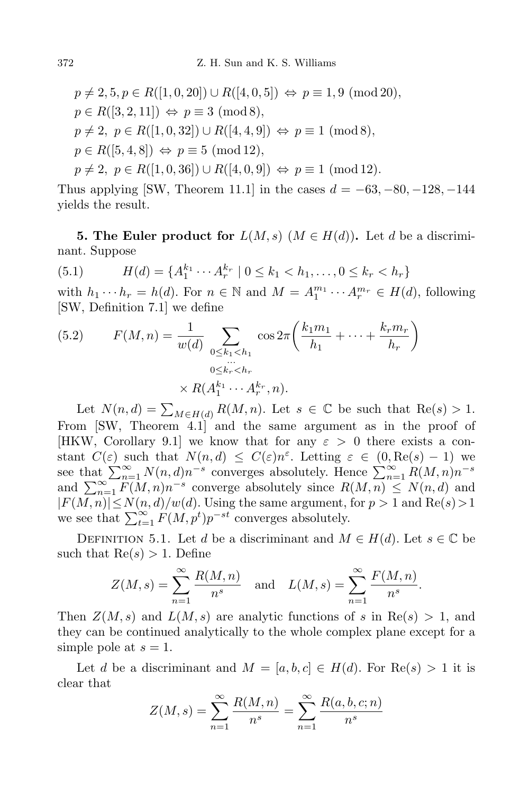$$
p \neq 2, 5, p \in R([1, 0, 20]) \cup R([4, 0, 5]) \Leftrightarrow p \equiv 1, 9 \pmod{20},
$$
  
\n
$$
p \in R([3, 2, 11]) \Leftrightarrow p \equiv 3 \pmod{8},
$$
  
\n
$$
p \neq 2, p \in R([1, 0, 32]) \cup R([4, 4, 9]) \Leftrightarrow p \equiv 1 \pmod{8},
$$
  
\n
$$
p \in R([5, 4, 8]) \Leftrightarrow p \equiv 5 \pmod{12},
$$
  
\n
$$
p \neq 2, p \in R([1, 0, 36]) \cup R([4, 0, 9]) \Leftrightarrow p \equiv 1 \pmod{12}.
$$

Thus applying [SW, Theorem 11.1] in the cases *d* = *−*63*, −*80*, −*128*, −*144 yields the result.

**5. The Euler product for**  $L(M, s)$   $(M \in H(d))$ . Let *d* be a discriminant. Suppose

(5.1) 
$$
H(d) = \{A_1^{k_1} \cdots A_r^{k_r} \mid 0 \le k_1 < h_1, \ldots, 0 \le k_r < h_r\}
$$

with  $h_1 \cdots h_r = h(d)$ . For  $n \in \mathbb{N}$  and  $M = A_1^{m_1} \cdots A_r^{m_r} \in H(d)$ , following [SW, Definition 7.1] we define

(5.2) 
$$
F(M, n) = \frac{1}{w(d)} \sum_{\substack{0 \le k_1 < h_1 \\ \dots \\ 0 \le k_r < h_r}} \cos 2\pi \left( \frac{k_1 m_1}{h_1} + \dots + \frac{k_r m_r}{h_r} \right)
$$

$$
\times R(A_1^{k_1} \cdots A_r^{k_r}, n).
$$

Let  $N(n, d) = \sum_{M \in H(d)} R(M, n)$ . Let  $s \in \mathbb{C}$  be such that  $\text{Re}(s) > 1$ . From [SW, Theorem 4.1] and the same argument as in the proof of [HKW, Corollary 9.1] we know that for any *ε >* 0 there exists a constant  $C(\varepsilon)$  such that  $N(n,d) \leq C(\varepsilon)n^{\varepsilon}$ . Letting  $\varepsilon \in (0, \text{Re}(s) - 1)$  we see that  $\sum_{n=1}^{\infty} N(n, d)n^{-s}$  converges absolutely. Hence  $\sum_{n=1}^{\infty} R(M, n)n^{-s}$ and  $\sum_{n=1}^{\infty} F(M, n) n^{-s}$  converge absolutely since  $R(M, n) \leq N(n, d)$  and *|F*(*M, n*)*|≤N*(*n, d*)*/w*(*d*). Using the same argument, for *p >* 1 and Re(*s*)*>*1 we see that  $\sum_{t=1}^{\infty} F(M, p^t) p^{-st}$  converges absolutely.

DEFINITION 5.1. Let *d* be a discriminant and  $M \in H(d)$ . Let  $s \in \mathbb{C}$  be such that  $Re(s) > 1$ . Define

$$
Z(M, s) = \sum_{n=1}^{\infty} \frac{R(M, n)}{n^s}
$$
 and  $L(M, s) = \sum_{n=1}^{\infty} \frac{F(M, n)}{n^s}$ .

Then  $Z(M, s)$  and  $L(M, s)$  are analytic functions of *s* in Re(*s*) > 1, and they can be continued analytically to the whole complex plane except for a simple pole at  $s = 1$ .

Let *d* be a discriminant and  $M = [a, b, c] \in H(d)$ . For  $\text{Re}(s) > 1$  it is clear that

$$
Z(M, s) = \sum_{n=1}^{\infty} \frac{R(M, n)}{n^{s}} = \sum_{n=1}^{\infty} \frac{R(a, b, c; n)}{n^{s}}
$$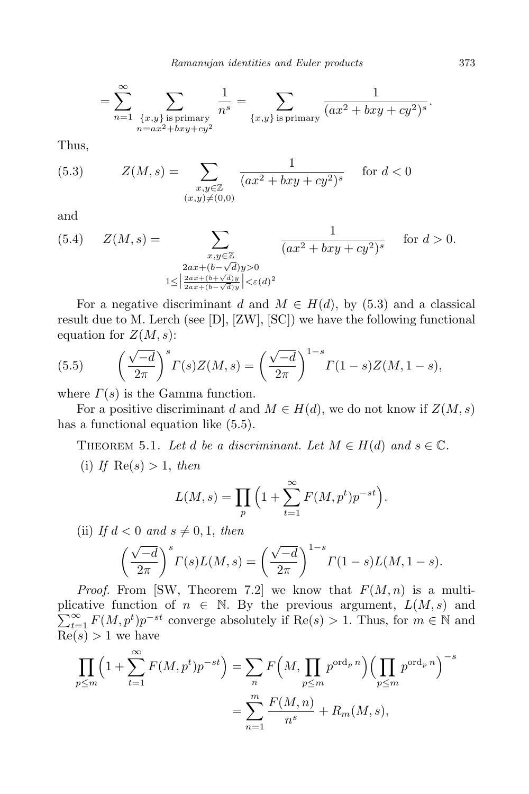$$
= \sum_{n=1}^{\infty} \sum_{\substack{\{x,y\} \text{ is primary} \\ n = ax^2 + bxy + cy^2}} \frac{1}{n^s} = \sum_{\{x,y\} \text{ is primary}} \frac{1}{(ax^2 + bxy + cy^2)^s}.
$$

Thus,

(5.3) 
$$
Z(M, s) = \sum_{\substack{x, y \in \mathbb{Z} \\ (x, y) \neq (0, 0)}} \frac{1}{(ax^2 + bxy + cy^2)^s} \quad \text{for } d < 0
$$

and

(5.4) 
$$
Z(M, s) = \sum_{\substack{x, y \in \mathbb{Z} \\ 2ax + (b - \sqrt{d})y > 0 \\ 1 \leq \left| \frac{2ax + (b + \sqrt{d})y}{2ax + (b - \sqrt{d})y} \right| < \varepsilon(d)^2}} \frac{1}{(ax^2 + bxy + cy^2)^s} \quad \text{for } d > 0.
$$

For a negative discriminant *d* and  $M \in H(d)$ , by (5.3) and a classical result due to M. Lerch (see [D], [ZW], [SC]) we have the following functional equation for  $Z(M, s)$ :

(5.5) 
$$
\left(\frac{\sqrt{-d}}{2\pi}\right)^s \Gamma(s) Z(M, s) = \left(\frac{\sqrt{-d}}{2\pi}\right)^{1-s} \Gamma(1-s) Z(M, 1-s),
$$

where *Γ*(*s*) is the Gamma function.

For a positive discriminant *d* and  $M \in H(d)$ , we do not know if  $Z(M, s)$ has a functional equation like (5.5).

THEOREM 5.1. Let *d* be a discriminant. Let  $M \in H(d)$  and  $s \in \mathbb{C}$ .

(i) If  $\text{Re}(s) > 1$ , then

$$
L(M,s) = \prod_p \left(1 + \sum_{t=1}^{\infty} F(M, p^t) p^{-st}\right).
$$

(ii) If  $d < 0$  and  $s \neq 0, 1$ , then

$$
\left(\frac{\sqrt{-d}}{2\pi}\right)^s \Gamma(s) L(M,s) = \left(\frac{\sqrt{-d}}{2\pi}\right)^{1-s} \Gamma(1-s) L(M,1-s).
$$

*Proof.* From [SW, Theorem 7.2] we know that  $F(M, n)$  is a multiplicative function of  $n \in \mathbb{N}$ . By the previous argument,  $L(M, s)$  and  $\sum_{t=1}^{\infty} F(M, p^t) p^{-st}$  converge absolutely if Re(*s*) *>* 1. Thus, for  $m \in \mathbb{N}$  and  $Re(s) > 1$  we have

$$
\prod_{p \le m} \left( 1 + \sum_{t=1}^{\infty} F(M, p^t) p^{-st} \right) = \sum_{n} F\left(M, \prod_{p \le m} p^{\text{ord}_p n}\right) \left(\prod_{p \le m} p^{\text{ord}_p n}\right)^{-s}
$$

$$
= \sum_{n=1}^{m} \frac{F(M, n)}{n^s} + R_m(M, s),
$$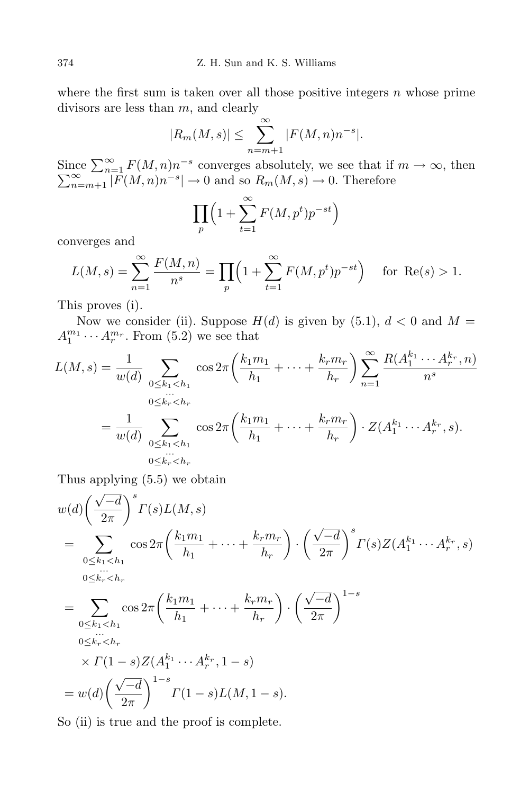where the first sum is taken over all those positive integers *n* whose prime divisors are less than *m*, and clearly

$$
|R_m(M,s)| \leq \sum_{n=m+1}^{\infty} |F(M,n)n^{-s}|.
$$

 $\sum_{n=1}^{\infty} F(M, n) n^{-s}$  $\sum$  $\sum_{n=m+1}^{\infty} F(M, n) n^{-s}$  converges absolutely, we see that if  $m \to \infty$ , then  $\sum_{n=m+1}^{\infty} |F(M, n) n^{-s}| \to 0$  and so  $R_m(M, s) \to 0$ . Therefore

$$
\prod_{p} \left( 1 + \sum_{t=1}^{\infty} F(M, p^t) p^{-st} \right)
$$

converges and

$$
L(M, s) = \sum_{n=1}^{\infty} \frac{F(M, n)}{n^s} = \prod_p \left(1 + \sum_{t=1}^{\infty} F(M, p^t) p^{-st}\right) \text{ for } \text{Re}(s) > 1.
$$

This proves (i).

Now we consider (ii). Suppose  $H(d)$  is given by (5.1),  $d < 0$  and  $M =$  $A_1^{m_1} \cdots A_r^{m_r}$ . From (5.2) we see that

$$
L(M,s) = \frac{1}{w(d)} \sum_{\substack{0 \le k_1 < h_1 \\ \dots \\ 0 \le k_r < h_r}} \cos 2\pi \left( \frac{k_1 m_1}{h_1} + \dots + \frac{k_r m_r}{h_r} \right) \sum_{n=1}^{\infty} \frac{R(A_1^{k_1} \cdots A_r^{k_r}, n)}{n^s}
$$
\n
$$
= \frac{1}{w(d)} \sum_{\substack{0 \le k_1 < h_1 \\ \dots \\ 0 \le k_r < h_r}} \cos 2\pi \left( \frac{k_1 m_1}{h_1} + \dots + \frac{k_r m_r}{h_r} \right) \cdot Z(A_1^{k_1} \cdots A_r^{k_r}, s).
$$

Thus applying (5.5) we obtain

$$
w(d)\left(\frac{\sqrt{-d}}{2\pi}\right)^s \Gamma(s)L(M,s)
$$
  
= 
$$
\sum_{\substack{0 \le k_1 < h_1 \\ \dots \\ 0 \le k_r < h_r}} \cos 2\pi \left(\frac{k_1 m_1}{h_1} + \dots + \frac{k_r m_r}{h_r}\right) \cdot \left(\frac{\sqrt{-d}}{2\pi}\right)^s \Gamma(s)Z(A_1^{k_1} \cdots A_r^{k_r}, s)
$$
  
= 
$$
\sum_{\substack{0 \le k_1 < h_1 \\ \dots \\ 0 \le k_r < h_r}} \cos 2\pi \left(\frac{k_1 m_1}{h_1} + \dots + \frac{k_r m_r}{h_r}\right) \cdot \left(\frac{\sqrt{-d}}{2\pi}\right)^{1-s}
$$
  

$$
\times \Gamma(1-s)Z(A_1^{k_1} \cdots A_r^{k_r}, 1-s)
$$
  
= 
$$
w(d)\left(\frac{\sqrt{-d}}{2\pi}\right)^{1-s} \Gamma(1-s)L(M, 1-s).
$$

So (ii) is true and the proof is complete.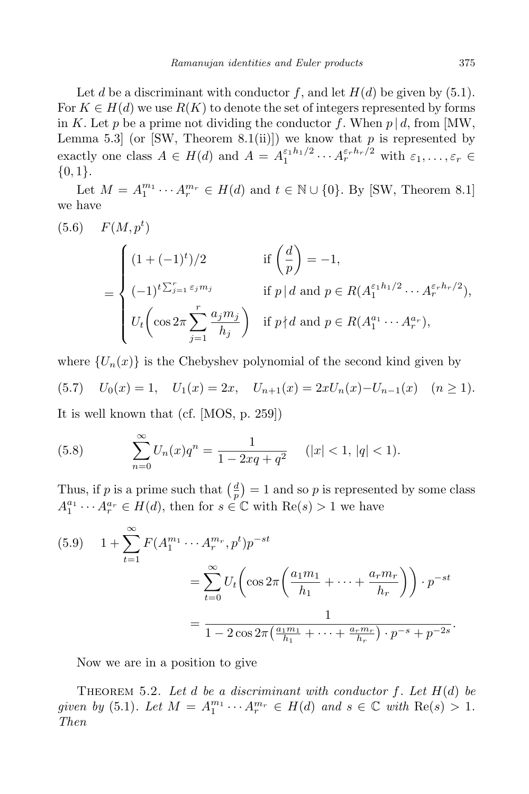Let *d* be a discriminant with conductor  $f$ , and let  $H(d)$  be given by (5.1). For  $K \in H(d)$  we use  $R(K)$  to denote the set of integers represented by forms in *K*. Let *p* be a prime not dividing the conductor *f*. When  $p | d$ , from [MW, Lemma 5.3 (or [SW, Theorem 8.1(ii)]) we know that  $p$  is represented by exactly one class  $A \in H(d)$  and  $A = A_1^{\varepsilon_1 h_1/2}$  $A_1^{\varepsilon} A_1^{h_1/2} \cdots A_r^{\varepsilon_r h_r/2}$  with  $\varepsilon_1, \ldots, \varepsilon_r \in$ *{*0*,* 1*}*.

Let  $M = A_1^{m_1} \cdots A_r^{m_r} \in H(d)$  and  $t \in \mathbb{N} \cup \{0\}$ . By [SW, Theorem 8.1] we have

(5.6) 
$$
F(M, p^t)
$$

$$
= \begin{cases} (1 + (-1)^t)/2 & \text{if } \left(\frac{d}{p}\right) = -1, \\ (-1)^t \sum_{j=1}^r \varepsilon_j m_j & \text{if } p | d \text{ and } p \in R(A_1^{\varepsilon_1 h_1/2} \cdots A_r^{\varepsilon_r h_r/2}), \\ U_t \left(\cos 2\pi \sum_{j=1}^r \frac{a_j m_j}{h_j}\right) & \text{if } p \nmid d \text{ and } p \in R(A_1^{a_1} \cdots A_r^{a_r}), \end{cases}
$$

where  ${U_n(x)}$  is the Chebyshev polynomial of the second kind given by

(5.7) 
$$
U_0(x) = 1
$$
,  $U_1(x) = 2x$ ,  $U_{n+1}(x) = 2xU_n(x) - U_{n-1}(x)$   $(n \ge 1)$ .

It is well known that (cf. [MOS, p. 259])

(5.8) 
$$
\sum_{n=0}^{\infty} U_n(x)q^n = \frac{1}{1 - 2xq + q^2} \quad (|x| < 1, |q| < 1).
$$

Thus, if p is a prime such that  $\left(\frac{d}{n}\right)$  $\left(\frac{d}{p}\right) = 1$  and so *p* is represented by some class  $A_1^{a_1} \cdots A_r^{a_r} \in H(d)$ , then for  $s \in \mathbb{C}$  with  $Re(s) > 1$  we have

$$
(5.9) \quad 1 + \sum_{t=1}^{\infty} F(A_1^{m_1} \cdots A_r^{m_r}, p^t) p^{-st}
$$

$$
= \sum_{t=0}^{\infty} U_t \left( \cos 2\pi \left( \frac{a_1 m_1}{h_1} + \cdots + \frac{a_r m_r}{h_r} \right) \right) \cdot p^{-st}
$$

$$
= \frac{1}{1 - 2 \cos 2\pi \left( \frac{a_1 m_1}{h_1} + \cdots + \frac{a_r m_r}{h_r} \right) \cdot p^{-s} + p^{-2s}}.
$$

Now we are in a position to give

THEOREM 5.2. Let *d* be a discriminant with conductor  $f$ . Let  $H(d)$  be *given by* (5.1)*. Let*  $M = A_1^{m_1} \cdots A_r^{m_r} \in H(d)$  and  $s \in \mathbb{C}$  with  $\text{Re}(s) > 1$ *. Then*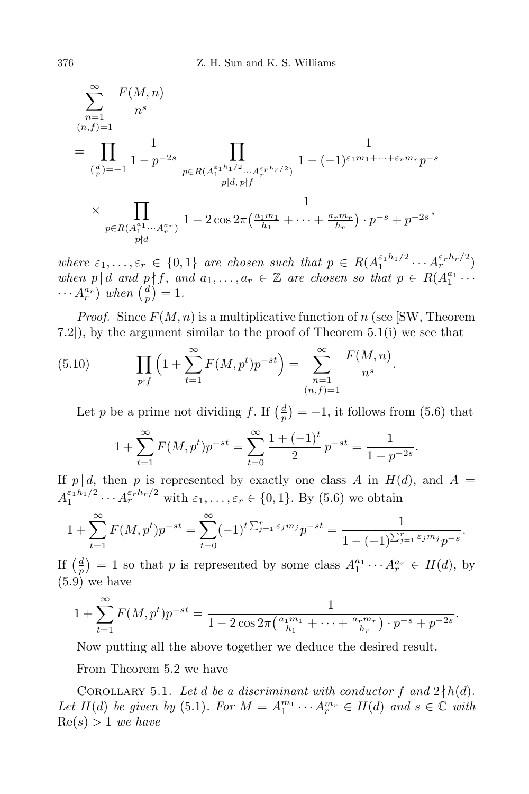$$
\sum_{n=1}^{\infty} \frac{F(M,n)}{n^s}
$$
\n
$$
= \prod_{\substack{(\frac{d}{p})=-1}} \frac{1}{1-p^{-2s}} \prod_{\substack{p\in R(A_1^{e_1h_1/2}\cdots A_r^{e_rh_r/2})\\p|d, p\nmid f}} \frac{1}{1-(-1)^{\varepsilon_1m_1+\cdots+\varepsilon_r m_r}p^{-s}}
$$
\n
$$
\times \prod_{\substack{p\in R(A_1^{a_1}\cdots A_r^{a_r})\\p\nmid d}} \frac{1}{1-2\cos 2\pi \left(\frac{a_1m_1}{h_1}+\cdots+\frac{a_r m_r}{h_r}\right)\cdot p^{-s}+p^{-2s}},
$$

*where*  $\varepsilon_1, \ldots, \varepsilon_r \in \{0, 1\}$  *are chosen such that*  $p \in R(A_1^{\varepsilon_1 h_1/2})$  $A_1^{\varepsilon_1 h_1/2} \cdots A_r^{\varepsilon_r h_r/2}$ *when*  $p \mid d$  *and*  $p \nmid f$ , *and*  $a_1, \ldots, a_r \in \mathbb{Z}$  *are chosen so that*  $p \in R(A_1^{a_1} \cdots$  $\cdots$   $A_r^{a_r}$  *) when*  $\left(\frac{d}{p}\right)$  $\frac{d}{p}$ ) = 1.

*Proof.* Since  $F(M, n)$  is a multiplicative function of *n* (see [SW, Theorem 7.2]), by the argument similar to the proof of Theorem 5.1(i) we see that

(5.10) 
$$
\prod_{p \nmid f} \left( 1 + \sum_{t=1}^{\infty} F(M, p^t) p^{-st} \right) = \sum_{\substack{n=1 \ (n, f) = 1}}^{\infty} \frac{F(M, n)}{n^s}.
$$

Let *p* be a prime not dividing *f*. If  $\left(\frac{d}{n}\right)$  $\frac{d}{p}$ ) = -1, it follows from (5.6) that

$$
1 + \sum_{t=1}^{\infty} F(M, p^t) p^{-st} = \sum_{t=0}^{\infty} \frac{1 + (-1)^t}{2} p^{-st} = \frac{1}{1 - p^{-2s}}.
$$

If  $p \mid d$ , then  $p$  is represented by exactly one class  $A$  in  $H(d)$ , and  $A =$  $A_1^{\varepsilon_1 h_1/2}$  $A_1^{\varepsilon_1 h_1/2} \cdots A_r^{\varepsilon_r h_r/2}$  with  $\varepsilon_1, \ldots, \varepsilon_r \in \{0, 1\}$ . By (5.6) we obtain

$$
1 + \sum_{t=1}^{\infty} F(M, p^t) p^{-st} = \sum_{t=0}^{\infty} (-1)^t \sum_{j=1}^r \varepsilon_j m_j p^{-st} = \frac{1}{1 - (-1)^{\sum_{j=1}^r \varepsilon_j m_j} p^{-s}}.
$$

If  $\left(\frac{d}{n}\right)$  $\frac{d}{p}$  = 1 so that *p* is represented by some class  $A_1^{a_1} \cdots A_r^{a_r} \in H(d)$ , by  $(5.9)$  we have

$$
1 + \sum_{t=1}^{\infty} F(M, p^t) p^{-st} = \frac{1}{1 - 2 \cos 2\pi \left(\frac{a_1 m_1}{h_1} + \dots + \frac{a_r m_r}{h_r}\right) \cdot p^{-s} + p^{-2s}}.
$$

Now putting all the above together we deduce the desired result.

From Theorem 5.2 we have

COROLLARY 5.1. Let *d* be a discriminant with conductor  $f$  and  $2 \nmid h(d)$ . *Let*  $H(d)$  *be given by* (5.1)*. For*  $M = A_1^{m_1} \cdots A_r^{m_r} \in H(d)$  *and*  $s \in \mathbb{C}$  *with*  $Re(s) > 1$  *we have*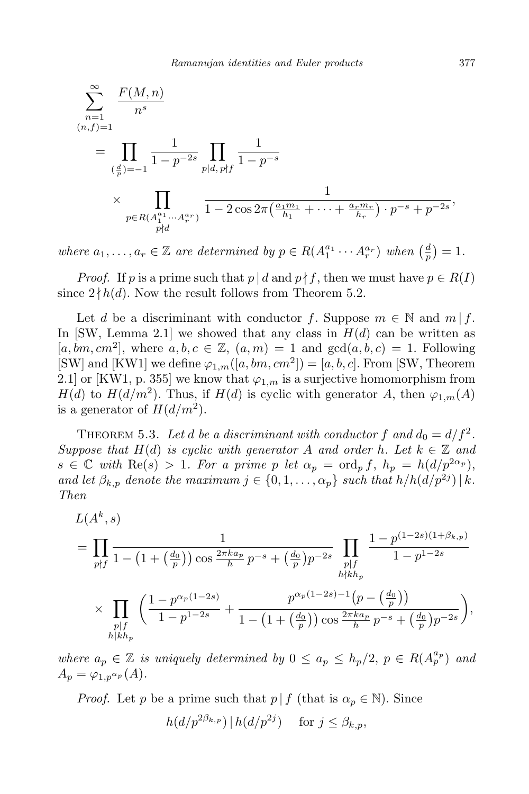$$
\sum_{n=1}^{\infty} \frac{F(M,n)}{n^s}
$$
\n
$$
= \prod_{\substack{(\frac{d}{p})=-1 \\ p \in R(A_1^{a_1} \cdots A_r^{a_r})}} \frac{1}{1-p^{-2s}} \prod_{\substack{p|d, p \nmid f}} \frac{1}{1-p^{-s}}
$$
\n
$$
\times \prod_{\substack{p \in R(A_1^{a_1} \cdots A_r^{a_r}) \\ p \nmid d}} \frac{1}{1-2 \cos 2\pi \left(\frac{a_1 m_1}{h_1} + \cdots + \frac{a_r m_r}{h_r}\right) \cdot p^{-s} + p^{-2s}},
$$

*where*  $a_1, \ldots, a_r \in \mathbb{Z}$  are determined by  $p \in R(A_1^{a_1} \cdots A_r^{a_r})$  when  $\left(\frac{d}{p}\right)$  $\frac{a}{p}$ ) = 1.

*Proof.* If *p* is a prime such that  $p \mid d$  and  $p \nmid f$ , then we must have  $p \in R(I)$ since  $2 \nmid h(d)$ . Now the result follows from Theorem 5.2.

Let *d* be a discriminant with conductor *f*. Suppose  $m \in \mathbb{N}$  and  $m \mid f$ . In [SW, Lemma 2.1] we showed that any class in *H*(*d*) can be written as  $[a, bm, cm^2]$ , where  $a, b, c \in \mathbb{Z}$ ,  $(a, m) = 1$  and  $gcd(a, b, c) = 1$ . Following [SW] and [KW1] we define  $\varphi_{1,m}([a, bm, cm^2]) = [a, b, c]$ . From [SW, Theorem 2.1] or [KW1, p. 355] we know that  $\varphi_{1,m}$  is a surjective homomorphism from *H*(*d*) to *H*( $d/m<sup>2</sup>$ ). Thus, if *H*(*d*) is cyclic with generator *A*, then  $\varphi_{1,m}(A)$ is a generator of  $H(d/m^2)$ .

THEOREM 5.3. Let *d* be a discriminant with conductor  $f$  and  $d_0 = d/f^2$ . *Suppose that*  $H(d)$  *is cyclic with generator A and order h. Let*  $k \in \mathbb{Z}$  *and*  $s \in \mathbb{C}$  *with*  $\text{Re}(s) > 1$ *. For a prime p let*  $\alpha_p = \text{ord}_p f$ ,  $h_p = h(d/p^{2\alpha_p})$ , *and let*  $\beta_{k,p}$  *denote the maximum*  $j \in \{0, 1, \ldots, \alpha_p\}$  *such that*  $h/h(d/p^{2j}) \mid k$ *. Then*

$$
L(A^k, s)
$$
  
=  $\prod_{p \nmid f} \frac{1}{1 - (1 + (\frac{d_0}{p})) \cos \frac{2\pi k a_p}{h} p^{-s} + (\frac{d_0}{p}) p^{-2s}} \prod_{\substack{p \mid f \\ h \nmid kh_p}} \frac{1 - p^{(1-2s)(1+\beta_{k,p})}}{1 - p^{1-2s}}$   
 $\times \prod_{\substack{p \mid f \\ h \mid kh_p}} \left( \frac{1 - p^{\alpha_p(1-2s)}}{1 - p^{1-2s}} + \frac{p^{\alpha_p(1-2s) - 1}(p - (\frac{d_0}{p}))}{1 - (1 + (\frac{d_0}{p})) \cos \frac{2\pi k a_p}{h} p^{-s} + (\frac{d_0}{p}) p^{-2s}} \right),$ 

*where*  $a_p \in \mathbb{Z}$  *is uniquely determined by*  $0 \le a_p \le h_p/2$ ,  $p \in R(A_p^{a_p})$  *and*  $A_p = \varphi_{1,p} \alpha_p(A)$ .

*Proof.* Let *p* be a prime such that  $p \mid f$  (that is  $\alpha_p \in \mathbb{N}$ ). Since

$$
h(d/p^{2\beta_{k,p}}) | h(d/p^{2j}) \quad \text{ for } j \leq \beta_{k,p},
$$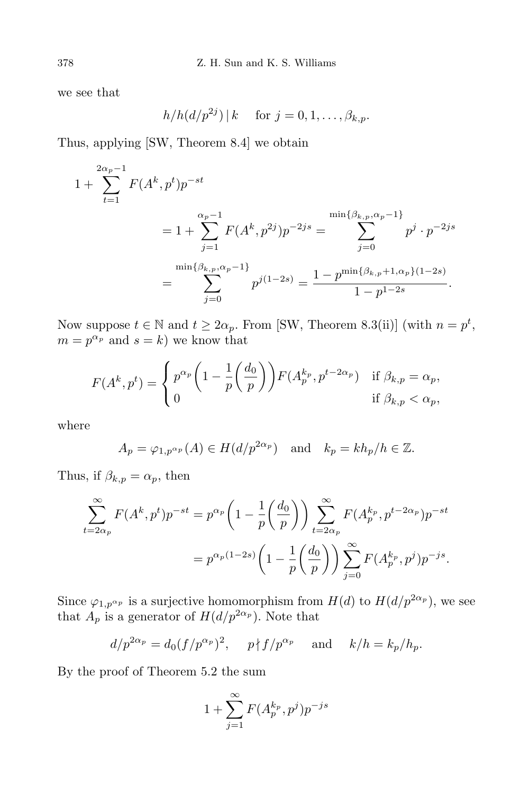we see that

$$
h/h(d/p^{2j})\,|\,k \quad \text{ for } j=0,1,\ldots,\beta_{k,p}.
$$

Thus, applying [SW, Theorem 8.4] we obtain

$$
1 + \sum_{t=1}^{2\alpha_p - 1} F(A^k, p^t) p^{-st}
$$
  
=  $1 + \sum_{j=1}^{\alpha_p - 1} F(A^k, p^{2j}) p^{-2js} = \sum_{j=0}^{\min\{\beta_{k,p}, \alpha_p - 1\}} p^j \cdot p^{-2js}$   
= 
$$
\sum_{j=0}^{\min\{\beta_{k,p}, \alpha_p - 1\}} p^{j(1-2s)} = \frac{1 - p^{\min\{\beta_{k,p} + 1, \alpha_p\}(1-2s)}}{1 - p^{1-2s}}.
$$

Now suppose  $t \in \mathbb{N}$  and  $t \geq 2\alpha_p$ . From [SW, Theorem 8.3(ii)] (with  $n = p^t$ ,  $m = p^{\alpha_p}$  and  $s = k$ ) we know that

$$
F(A^k, p^t) = \begin{cases} p^{\alpha_p} \left( 1 - \frac{1}{p} \left( \frac{d_0}{p} \right) \right) F(A_p^{k_p}, p^{t - 2\alpha_p}) & \text{if } \beta_{k,p} = \alpha_p, \\ 0 & \text{if } \beta_{k,p} < \alpha_p, \end{cases}
$$

where

$$
A_p = \varphi_{1,p^{\alpha_p}}(A) \in H(d/p^{2\alpha_p})
$$
 and  $k_p = kh_p/h \in \mathbb{Z}$ .

Thus, if  $\beta_{k,p} = \alpha_p$ , then

$$
\sum_{t=2\alpha_p}^{\infty} F(A^k, p^t) p^{-st} = p^{\alpha_p} \left( 1 - \frac{1}{p} \left( \frac{d_0}{p} \right) \right) \sum_{t=2\alpha_p}^{\infty} F(A_p^{k_p}, p^{t-2\alpha_p}) p^{-st}
$$

$$
= p^{\alpha_p (1-2s)} \left( 1 - \frac{1}{p} \left( \frac{d_0}{p} \right) \right) \sum_{j=0}^{\infty} F(A_p^{k_p}, p^j) p^{-js}.
$$

Since  $\varphi_{1,p^{\alpha_p}}$  is a surjective homomorphism from  $H(d)$  to  $H(d/p^{2\alpha_p})$ , we see that  $A_p$  is a generator of  $H(d/p^{2\alpha_p})$ . Note that

$$
d/p^{2\alpha_p} = d_0(f/p^{\alpha_p})^2, \quad p \nmid f/p^{\alpha_p} \quad \text{and} \quad k/h = k_p/h_p.
$$

By the proof of Theorem 5.2 the sum

$$
1 + \sum_{j=1}^{\infty} F(A_p^{k_p}, p^j) p^{-js}
$$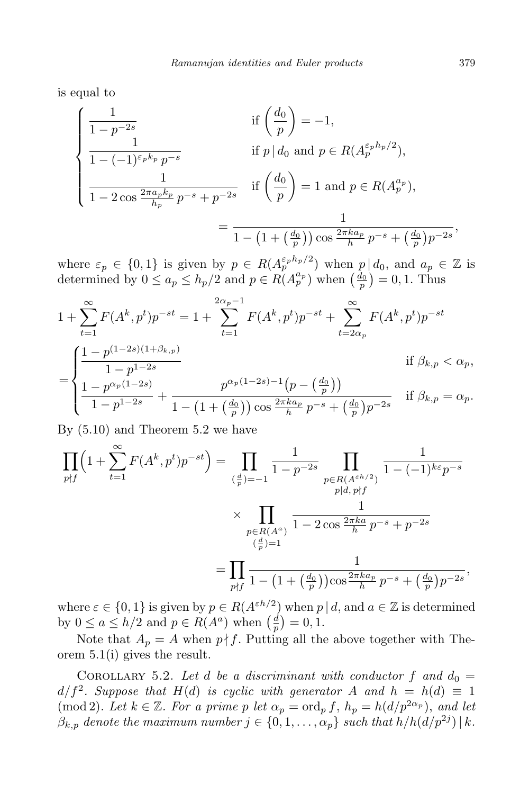is equal to

$$
\begin{cases}\n\frac{1}{1 - p^{-2s}} & \text{if } \left(\frac{d_0}{p}\right) = -1, \\
\frac{1}{1 - (-1)^{\varepsilon_p k_p} p^{-s}} & \text{if } p | d_0 \text{ and } p \in R(A_p^{\varepsilon_p h_p/2}), \\
\frac{1}{1 - 2 \cos \frac{2\pi a_p k_p}{h_p} p^{-s} + p^{-2s}} & \text{if } \left(\frac{d_0}{p}\right) = 1 \text{ and } p \in R(A_p^{a_p}), \\
= \frac{1}{1 - (1 + (\frac{d_0}{p})) \cos \frac{2\pi k a_p}{h} p^{-s} + (\frac{d_0}{p}) p^{-2s}},\n\end{cases}
$$

where  $\varepsilon_p \in \{0,1\}$  is given by  $p \in R(A_p^{\varepsilon_p h_p/2})$  when  $p|d_0$ , and  $a_p \in \mathbb{Z}$  is determined by  $0 \le a_p \le h_p/2$  and  $p \in R(A_p^{a_p})$  when  $\left(\frac{d_0}{p}\right) = 0, 1$ . Thus

$$
1 + \sum_{t=1}^{\infty} F(A^k, p^t) p^{-st} = 1 + \sum_{t=1}^{2\alpha_p - 1} F(A^k, p^t) p^{-st} + \sum_{t=2\alpha_p}^{\infty} F(A^k, p^t) p^{-st}
$$
  
= 
$$
\begin{cases} \frac{1 - p^{(1-2s)(1+\beta_{k,p})}}{1 - p^{1-2s}} & \text{if } \beta_{k,p} < \alpha_p, \\ \frac{1 - p^{\alpha_p(1-2s)}}{1 - p^{1-2s}} + \frac{p^{\alpha_p(1-2s)-1}(p - \left(\frac{d_0}{p}\right))}{1 - \left(1 + \left(\frac{d_0}{p}\right)\right) \cos \frac{2\pi k a_p}{h} p^{-s} + \left(\frac{d_0}{p}\right) p^{-2s}} & \text{if } \beta_{k,p} = \alpha_p. \end{cases}
$$

By (5.10) and Theorem 5.2 we have

$$
\prod_{p \nmid f} \left( 1 + \sum_{t=1}^{\infty} F(A^k, p^t) p^{-st} \right) = \prod_{\substack{(\frac{d}{p})=-1}} \frac{1}{1-p^{-2s}} \prod_{\substack{p \in R(A^{\varepsilon h/2}) \\ p | d, p \nmid f}} \frac{1}{1 - (-1)^{k\varepsilon} p^{-s}}
$$

$$
\times \prod_{\substack{(\frac{d}{p})=1 \\ (\frac{d}{p})=1}} \frac{1}{1 - 2 \cos \frac{2\pi k a}{h} p^{-s} + p^{-2s}}
$$

$$
= \prod_{p \nmid f} \frac{1}{1 - (1 + (\frac{d_0}{p})) \cos \frac{2\pi k a_p}{h} p^{-s} + (\frac{d_0}{p}) p^{-2s}},
$$

where  $\varepsilon \in \{0, 1\}$  is given by  $p \in R(A^{\varepsilon h/2})$  when  $p \mid d$ , and  $a \in \mathbb{Z}$  is determined by  $0 \le a \le h/2$  and  $p \in R(A^a)$  when  $\left(\frac{d}{p}\right)$  $(\frac{d}{p}) = 0, 1.$ 

Note that  $A_p = A$  when  $p \nmid f$ . Putting all the above together with Theorem 5.1(i) gives the result.

COROLLARY 5.2. Let *d* be a discriminant with conductor f and  $d_0 =$  $d/f^2$ . Suppose that  $H(d)$  is cyclic with generator *A* and  $h = h(d) \equiv 1$ (mod 2)*. Let*  $k \in \mathbb{Z}$ *. For a prime p let*  $\alpha_p = \text{ord}_p f$ ,  $h_p = h(d/p^{2\alpha_p})$ , and let  $\beta_{k,p}$  *denote the maximum number*  $j \in \{0, 1, \ldots, \alpha_p\}$  *such that*  $h/h(d/p^{2j}) \mid k$ *.*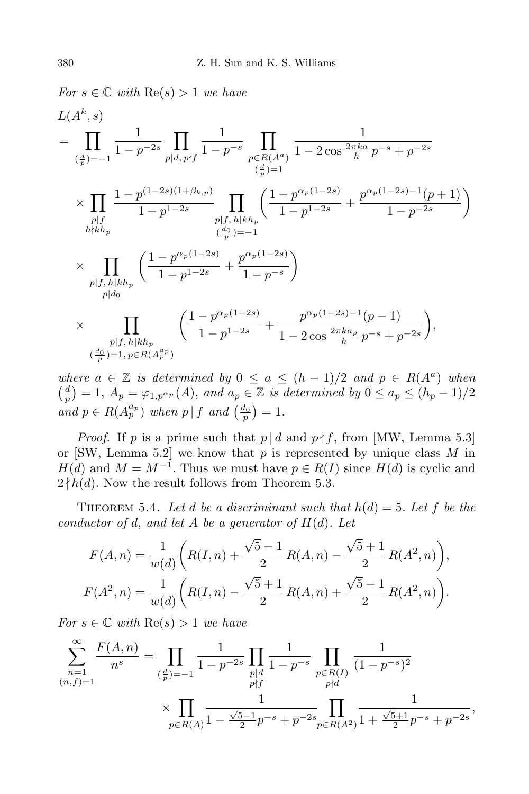$$
For \ s \in \mathbb{C} \ with \ \text{Re}(s) > 1 \ we \ have
$$
\n
$$
L(A^{k}, s)
$$
\n
$$
= \prod_{\left(\frac{d}{p}\right)=-1} \frac{1}{1-p^{-2s}} \prod_{p|d, p \nmid f} \frac{1}{1-p^{-s}} \prod_{\substack{p \in R(A^{a}) \\ (\frac{d}{p})=1}} \frac{1}{1-2\cos\frac{2\pi ka}{h}p^{-s}+p^{-2s}}
$$
\n
$$
\times \prod_{\substack{p|f \\ h \nmid kh_p}} \frac{1-p^{(1-2s)(1+\beta_{k,p})}}{1-p^{1-2s}} \prod_{\substack{p|f, h \mid kh_p \\ (\frac{d_0}{p})=1}} \left(\frac{1-p^{\alpha_p(1-2s)}}{1-p^{1-2s}}+\frac{p^{\alpha_p(1-2s)-1}(p+1)}{1-p^{-2s}}\right)
$$
\n
$$
\times \prod_{\substack{p|f, h \mid kh_p \\ p|d_0}} \left(\frac{1-p^{\alpha_p(1-2s)}}{1-p^{1-2s}}+\frac{p^{\alpha_p(1-2s)}}{1-p^{-s}}\right)
$$
\n
$$
\times \prod_{\substack{p|f, h \mid kh_p \\ \left(\frac{d_0}{p}\right)=1, p \in R(A^{a_p})}} \left(\frac{1-p^{\alpha_p(1-2s)}}{1-p^{1-2s}}+\frac{p^{\alpha_p(1-2s)-1}(p-1)}{1-2\cos\frac{2\pi ka_p}{h}p^{-s}+p^{-2s}}\right),
$$

*where*  $a \in \mathbb{Z}$  *is determined by*  $0 \leq a \leq (h-1)/2$  *and*  $p \in R(A^a)$  *when*  $\left(\frac{d}{n}\right)$  $\frac{d}{p}$ ) = 1,  $A_p = \varphi_{1,p} \alpha_p(A)$ , and  $a_p \in \mathbb{Z}$  is determined by  $0 \le a_p \le (h_p - 1)/2$ *and*  $p \in R(A_p^{a_p})$  *when*  $p | f$  *and*  $\left(\frac{d_0}{p}\right) = 1$ *.* 

*Proof.* If *p* is a prime such that  $p \mid d$  and  $p \nmid f$ , from [MW, Lemma 5.3] or [SW, Lemma 5.2] we know that *p* is represented by unique class *M* in *H*(*d*) and  $M = M^{-1}$ . Thus we must have  $p \in R(I)$  since  $H(d)$  is cyclic and  $2 \nmid h(d)$ . Now the result follows from Theorem 5.3.

THEOREM 5.4. Let *d* be a discriminant such that  $h(d) = 5$ . Let *f* be the *conductor of d, and let*  $A$  *be a generator of*  $H(d)$ *. Let* 

$$
F(A,n) = \frac{1}{w(d)} \left( R(I,n) + \frac{\sqrt{5}-1}{2} R(A,n) - \frac{\sqrt{5}+1}{2} R(A^2,n) \right),
$$
  

$$
F(A^2,n) = \frac{1}{w(d)} \left( R(I,n) - \frac{\sqrt{5}+1}{2} R(A,n) + \frac{\sqrt{5}-1}{2} R(A^2,n) \right).
$$

*For*  $s \in \mathbb{C}$  *with*  $\text{Re}(s) > 1$  *we have* 

$$
\sum_{\substack{n=1 \ (n,f)=1}}^{\infty} \frac{F(A,n)}{n^s} = \prod_{\substack{(\frac{d}{p})=-1}} \frac{1}{1-p^{-2s}} \prod_{\substack{p|d \ p\not= f}} \frac{1}{1-p^{-s}} \prod_{\substack{p\in R(I) \ p\not= d}} \frac{1}{(1-p^{-s})^2}
$$

$$
\times \prod_{p\in R(A)} \frac{1}{1-\frac{\sqrt{5}-1}{2}p^{-s}+p^{-2s}} \prod_{p\in R(A^2)} \frac{1}{1+\frac{\sqrt{5}+1}{2}p^{-s}+p^{-2s}},
$$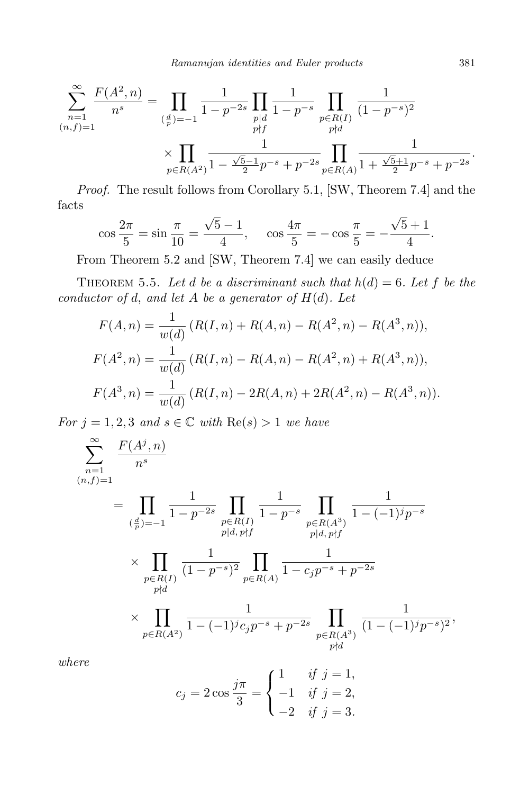$$
\sum_{n=1}^{\infty} \frac{F(A^2, n)}{n^s} = \prod_{\substack{(\frac{d}{p})=-1}} \frac{1}{1-p^{-2s}} \prod_{\substack{p|d\\p\nmid f}} \frac{1}{1-p^{-s}} \prod_{\substack{p\in R(I)\\p\nmid d}} \frac{1}{(1-p^{-s})^2}
$$

$$
\times \prod_{p\in R(A^2)} \frac{1}{1-\frac{\sqrt{5}-1}{2}p^{-s}+p^{-2s}} \prod_{p\in R(A)} \frac{1}{1+\frac{\sqrt{5}+1}{2}p^{-s}+p^{-2s}}.
$$

*Proof.* The result follows from Corollary 5.1, [SW, Theorem 7.4] and the facts

$$
\cos\frac{2\pi}{5} = \sin\frac{\pi}{10} = \frac{\sqrt{5} - 1}{4}, \quad \cos\frac{4\pi}{5} = -\cos\frac{\pi}{5} = -\frac{\sqrt{5} + 1}{4}.
$$

From Theorem 5.2 and [SW, Theorem 7.4] we can easily deduce

THEOREM 5.5. Let *d* be a discriminant such that  $h(d) = 6$ . Let *f* be the *conductor of d, and let A be a generator of*  $H(d)$ *. Let* 

$$
F(A, n) = \frac{1}{w(d)} (R(I, n) + R(A, n) - R(A^2, n) - R(A^3, n)),
$$
  
\n
$$
F(A^2, n) = \frac{1}{w(d)} (R(I, n) - R(A, n) - R(A^2, n) + R(A^3, n)),
$$
  
\n
$$
F(A^3, n) = \frac{1}{w(d)} (R(I, n) - 2R(A, n) + 2R(A^2, n) - R(A^3, n)).
$$

*For*  $j = 1, 2, 3$  *and*  $s \in \mathbb{C}$  *with*  $\text{Re}(s) > 1$  *we have* 

$$
\sum_{n=1}^{\infty} \frac{F(A^j, n)}{n^s}
$$
\n
$$
= \prod_{\substack{(\frac{d}{p})=-1}} \frac{1}{1-p^{-2s}} \prod_{\substack{p\in R(I) \\ p|d, p\nmid f}} \frac{1}{1-p^{-s}} \prod_{\substack{p\in R(A^3) \\ p|d, p\nmid f}} \frac{1}{1-(-1)^j p^{-s}}
$$
\n
$$
\times \prod_{\substack{p\in R(I) \\ p\nmid d}} \frac{1}{(1-p^{-s})^2} \prod_{\substack{p\in R(A) \\ p\in R(A)}} \frac{1}{1-c_j p^{-s} + p^{-2s}}
$$
\n
$$
\times \prod_{\substack{p\in R(A^2) \\ p\in R(A^2)}} \frac{1}{1-(-1)^j c_j p^{-s} + p^{-2s}} \prod_{\substack{p\in R(A^3) \\ p\nmid d}} \frac{1}{(1-(-1)^j p^{-s})^2},
$$

*where*

$$
c_j = 2 \cos \frac{j\pi}{3} = \begin{cases} 1 & \text{if } j = 1, \\ -1 & \text{if } j = 2, \\ -2 & \text{if } j = 3. \end{cases}
$$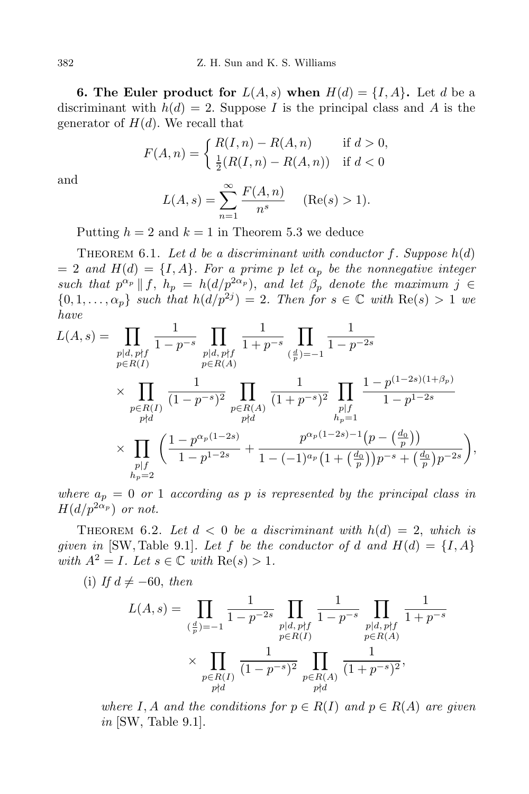**6. The Euler product for**  $L(A, s)$  when  $H(d) = \{I, A\}$ . Let *d* be a discriminant with  $h(d) = 2$ . Suppose *I* is the principal class and *A* is the generator of  $H(d)$ . We recall that

$$
F(A, n) = \begin{cases} R(I, n) - R(A, n) & \text{if } d > 0, \\ \frac{1}{2}(R(I, n) - R(A, n)) & \text{if } d < 0 \end{cases}
$$

and

$$
L(A, s) = \sum_{n=1}^{\infty} \frac{F(A, n)}{n^s}
$$
 (Re(s) > 1).

Putting  $h = 2$  and  $k = 1$  in Theorem 5.3 we deduce

THEOREM 6.1. Let  $d$  be a discriminant with conductor  $f$ . Suppose  $h(d)$  $= 2$  *and*  $H(d) = \{I, A\}$ *. For a prime p let*  $\alpha_p$  *be the nonnegative integer such that*  $p^{\alpha_p} \parallel f$ ,  $h_p = h(d/p^{2\alpha_p})$ , and let  $\beta_p$  denote the maximum  $j \in$  $\{0, 1, \ldots, \alpha_p\}$  *such that*  $h(d/p^{2j}) = 2$ *. Then for*  $s \in \mathbb{C}$  *with*  $\text{Re}(s) > 1$  *we have*

$$
L(A,s) = \prod_{\substack{p|d,p \nmid f \\ p \in R(I)}} \frac{1}{1-p^{-s}} \prod_{\substack{p|d,p \nmid f \\ p \in R(A)}} \frac{1}{1+p^{-s}} \prod_{\substack{(\frac{d}{p})=-1 \\ p \in R(A)}} \frac{1}{1-p^{-2s}} \times \prod_{\substack{p|d\\ p \nmid d}} \frac{1}{(1-p^{-s})^2} \prod_{\substack{p \in R(A) \\ p \nmid d}} \frac{1}{(1+p^{-s})^2} \prod_{\substack{p|f \\ h_p=1}} \frac{1-p^{(1-2s)(1+\beta_p)}}{1-p^{1-2s}} \times \prod_{\substack{p|f \\ p \nmid f}} \left(\frac{1-p^{\alpha_p(1-2s)}}{1-p^{1-2s}} + \frac{p^{\alpha_p(1-2s)-1}(p - \left(\frac{d_0}{p}\right))}{1 - (-1)^{\alpha_p}(1 + \left(\frac{d_0}{p}\right)p^{-s} + \left(\frac{d_0}{p}\right)p^{-2s}}\right),
$$

*where*  $a_p = 0$  *or* 1 *according as p is represented by the principal class in*  $H(d/p^{2\alpha_p})$  *or not.* 

THEOREM 6.2. Let  $d < 0$  be a discriminant with  $h(d) = 2$ , which is *given in* [SW, Table 9.1]*. Let*  $f$  *be the conductor of*  $d$  *and*  $H(d) = \{I, A\}$ *with*  $A^2 = I$ *. Let*  $s \in \mathbb{C}$  *with*  $\text{Re}(s) > 1$ *.* 

 $(i)$  *If*  $d \neq -60$ *, then* 

$$
L(A,s) = \prod_{\substack{(\frac{d}{p})=-1}} \frac{1}{1-p^{-2s}} \prod_{\substack{p|d, p\nmid f \ p\in R(I) \\ p\in R(I)}} \frac{1}{1-p^{-s}} \prod_{\substack{p|d, p\nmid f \ p\in R(A) \\ p\in R(A)}} \frac{1}{(1-p^{-s})^2} \prod_{\substack{p|d, p\nmid f \ p\in R(A) \\ p\nmid d}} \frac{1}{(1+p^{-s})^2},
$$

*where*  $I, A$  *and the conditions for*  $p \in R(I)$  *and*  $p \in R(A)$  *are given in* [SW, Table 9.1].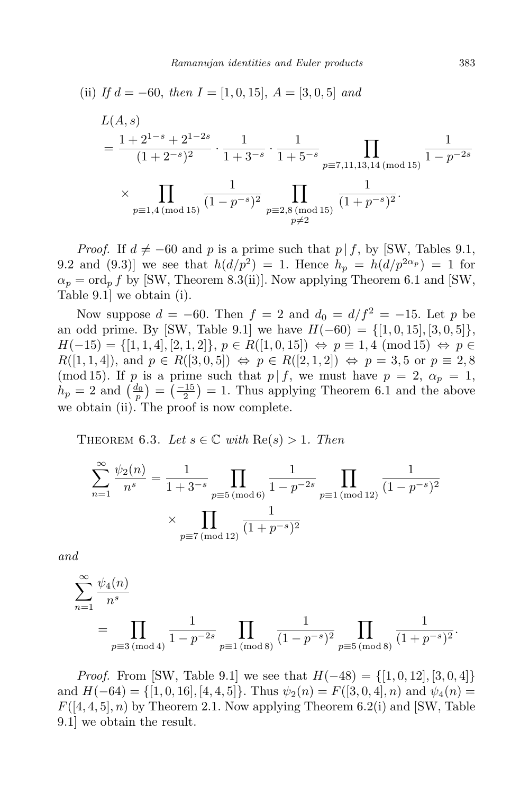(ii) If 
$$
d = -60
$$
, then  $I = [1, 0, 15]$ ,  $A = [3, 0, 5]$  and  
\n
$$
L(A, s)
$$
\n
$$
= \frac{1 + 2^{1-s} + 2^{1-2s}}{(1 + 2^{-s})^2} \cdot \frac{1}{1 + 3^{-s}} \cdot \frac{1}{1 + 5^{-s}} \prod_{p \equiv 7, 11, 13, 14 \pmod{15}} \frac{1}{1 - p^{-2s}}
$$
\n
$$
\times \prod_{p \equiv 1, 4 \pmod{15}} \frac{1}{(1 - p^{-s})^2} \prod_{\substack{p \equiv 2, 8 \pmod{15} \\ p \neq 2}} \frac{1}{(1 + p^{-s})^2}.
$$

*Proof.* If  $d \neq -60$  and *p* is a prime such that  $p \mid f$ , by [SW, Tables 9.1, 9.2 and (9.3)] we see that  $h(d/p^2) = 1$ . Hence  $h_p = h(d/p^{2\alpha_p}) = 1$  for  $\alpha_p = \text{ord}_p f$  by [SW, Theorem 8.3(ii)]. Now applying Theorem 6.1 and [SW, Table 9.1] we obtain (i).

Now suppose  $d = -60$ . Then  $f = 2$  and  $d_0 = d/f^2 = -15$ . Let p be an odd prime. By [SW, Table 9.1] we have  $H(-60) = \{[1, 0, 15], [3, 0, 5]\},\$ *H*( $-15$ ) = {[1, 1, 4]*,* [2*,* 1*,* 2]*}*, *p* ∈ *R*([1*,* 0*,* 15])  $\Leftrightarrow$  *p* ≡ 1*,* 4 (mod 15)  $\Leftrightarrow$  *p* ∈  $R([1, 1, 4])$ , and  $p \in R([3, 0, 5]) \Leftrightarrow p \in R([2, 1, 2]) \Leftrightarrow p = 3, 5 \text{ or } p \equiv 2, 8$ (mod 15). If *p* is a prime such that  $p \mid f$ , we must have  $p = 2$ ,  $\alpha_p = 1$ ,  $h_p = 2$  and  $\left(\frac{d_0}{p}\right) = \left(\frac{-15}{2}\right) = 1$ . Thus applying Theorem 6.1 and the above we obtain (ii). The proof is now complete.

THEOREM 6.3. Let  $s \in \mathbb{C}$  with  $\text{Re}(s) > 1$ . Then

$$
\sum_{n=1}^{\infty} \frac{\psi_2(n)}{n^s} = \frac{1}{1+3^{-s}} \prod_{p\equiv 5 \pmod{6}} \frac{1}{1-p^{-2s}} \prod_{p\equiv 1 \pmod{12}} \frac{1}{(1-p^{-s})^2}
$$

$$
\times \prod_{p\equiv 7 \pmod{12}} \frac{1}{(1+p^{-s})^2}
$$

*and*

$$
\sum_{n=1}^{\infty} \frac{\psi_4(n)}{n^s}
$$
  
= 
$$
\prod_{p\equiv 3 \pmod{4}} \frac{1}{1-p^{-2s}} \prod_{p\equiv 1 \pmod{8}} \frac{1}{(1-p^{-s})^2} \prod_{p\equiv 5 \pmod{8}} \frac{1}{(1+p^{-s})^2}.
$$

*Proof.* From [SW, Table 9.1] we see that  $H(-48) = \{[1, 0, 12], [3, 0, 4]\}$ and  $H(-64) = \{ [1, 0, 16], [4, 4, 5] \}.$  Thus  $\psi_2(n) = F([3, 0, 4], n)$  and  $\psi_4(n) =$  $F([4,4,5], n)$  by Theorem 2.1. Now applying Theorem 6.2(i) and [SW, Table 9.1] we obtain the result.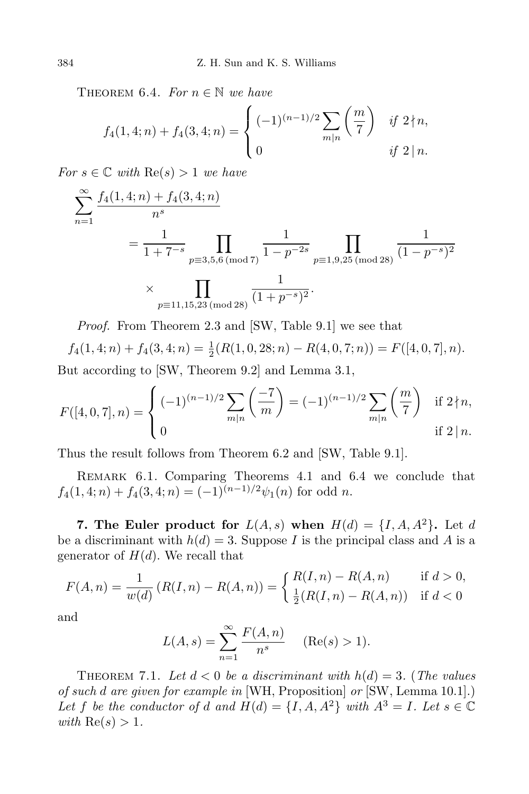THEOREM 6.4. *For*  $n \in \mathbb{N}$  *we have* 

$$
f_4(1,4;n) + f_4(3,4;n) = \begin{cases} (-1)^{(n-1)/2} \sum_{m|n} \left( \frac{m}{7} \right) & \text{if } 2 \nmid n, \\ 0 & \text{if } 2 \mid n. \end{cases}
$$

*For*  $s \in \mathbb{C}$  *with*  $\text{Re}(s) > 1$  *we have* 

$$
\sum_{n=1}^{\infty} \frac{f_4(1,4;n) + f_4(3,4;n)}{n^s}
$$
  
=  $\frac{1}{1+7^{-s}} \prod_{p \equiv 3,5,6 \pmod{7}} \frac{1}{1-p^{-2s}} \prod_{p \equiv 1,9,25 \pmod{28}} \frac{1}{(1-p^{-s})^2}$   

$$
\times \prod_{p \equiv 11,15,23 \pmod{28}} \frac{1}{(1+p^{-s})^2}.
$$

*Proof.* From Theorem 2.3 and [SW, Table 9.1] we see that

$$
f_4(1,4;n) + f_4(3,4;n) = \frac{1}{2}(R(1,0,28;n) - R(4,0,7;n)) = F([4,0,7],n).
$$

But according to [SW, Theorem 9.2] and Lemma 3.1,

$$
F([4,0,7],n) = \begin{cases} (-1)^{(n-1)/2} \sum_{m|n} \left(\frac{-7}{m}\right) = (-1)^{(n-1)/2} \sum_{m|n} \left(\frac{m}{7}\right) & \text{if } 2 \nmid n, \\ 0 & \text{if } 2 \mid n. \end{cases}
$$

Thus the result follows from Theorem 6.2 and [SW, Table 9.1].

REMARK 6.1. Comparing Theorems 4.1 and 6.4 we conclude that  $f_4(1,4;n) + f_4(3,4;n) = (-1)^{(n-1)/2} \psi_1(n)$  for odd *n*.

**7.** The Euler product for  $L(A, s)$  when  $H(d) = \{I, A, A^2\}$ . Let *d* be a discriminant with  $h(d) = 3$ . Suppose *I* is the principal class and *A* is a generator of  $H(d)$ . We recall that

$$
F(A, n) = \frac{1}{w(d)} (R(I, n) - R(A, n)) = \begin{cases} R(I, n) - R(A, n) & \text{if } d > 0, \\ \frac{1}{2}(R(I, n) - R(A, n)) & \text{if } d < 0 \end{cases}
$$

and

$$
L(A, s) = \sum_{n=1}^{\infty} \frac{F(A, n)}{n^{s}} \quad (\text{Re}(s) > 1).
$$

THEOREM 7.1. Let  $d < 0$  be a discriminant with  $h(d) = 3$ . (The values *of such d are given for example in* [WH, Proposition] *or* [SW, Lemma 10.1].) Let *f* be the conductor of *d* and  $H(d) = \{I, A, A^2\}$  with  $A^3 = I$ *. Let*  $s \in \mathbb{C}$ *with*  $\text{Re}(s) > 1$ *.*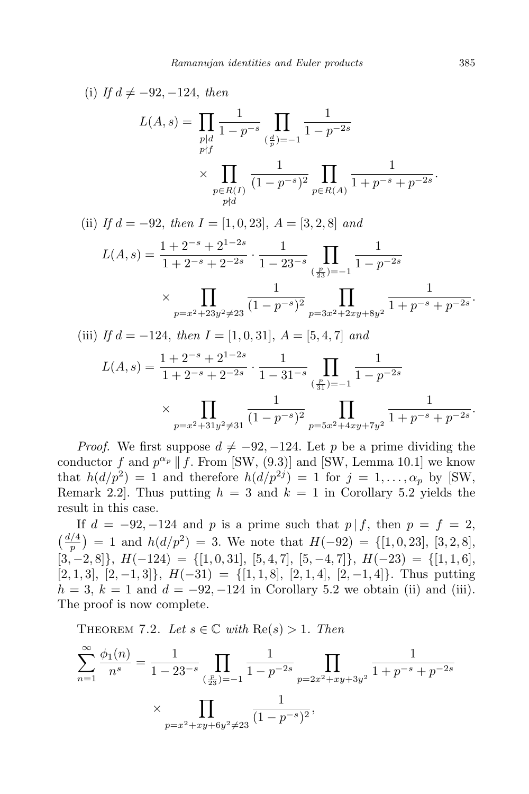(i) If 
$$
d \neq -92, -124
$$
, then  
\n
$$
L(A, s) = \prod_{\substack{p|d \ p \neq f}} \frac{1}{1 - p^{-s}} \prod_{\substack{(\frac{d}{p}) = -1 \\ p \in R(I)}} \frac{1}{(1 - p^{-2s})} \times \prod_{\substack{p \in R(I) \\ p \nmid d}} \frac{1}{(1 - p^{-s})^2} \prod_{p \in R(A)} \frac{1}{1 + p^{-s} + p^{-2s}}.
$$

(ii) *If d* = *−*92, *then I* = [1*,* 0*,* 23], *A* = [3*,* 2*,* 8] *and*

$$
L(A,s) = \frac{1 + 2^{-s} + 2^{1-2s}}{1 + 2^{-s} + 2^{-2s}} \cdot \frac{1}{1 - 23^{-s}} \prod_{\left(\frac{p}{23}\right) = -1} \frac{1}{1 - p^{-2s}}
$$
  
 
$$
\times \prod_{p=x^2 + 23y^2 \neq 23} \frac{1}{(1 - p^{-s})^2} \prod_{p=3x^2 + 2xy + 8y^2} \frac{1}{1 + p^{-s} + p^{-2s}}.
$$

(iii) *If d* = *−*124, *then I* = [1*,* 0*,* 31], *A* = [5*,* 4*,* 7] *and*

$$
L(A,s) = \frac{1 + 2^{-s} + 2^{1-2s}}{1 + 2^{-s} + 2^{-2s}} \cdot \frac{1}{1 - 31^{-s}} \prod_{\left(\frac{p}{31}\right) = -1} \frac{1}{1 - p^{-2s}}
$$
  
\$\times \prod\_{p=x^2+31y^2 \neq 31} \frac{1}{(1 - p^{-s})^2} \prod\_{p=5x^2+4xy+7y^2} \frac{1}{1 + p^{-s} + p^{-2s}}.

*Proof.* We first suppose  $d \neq -92, -124$ . Let p be a prime dividing the conductor *f* and  $p^{\alpha_p} \parallel f$ . From [SW, (9.3)] and [SW, Lemma 10.1] we know that  $h(d/p^2) = 1$  and therefore  $h(d/p^{2j}) = 1$  for  $j = 1, \ldots, \alpha_p$  by [SW, Remark 2.2. Thus putting  $h = 3$  and  $k = 1$  in Corollary 5.2 yields the result in this case.

If  $d = -92, -124$  and *p* is a prime such that  $p \mid f$ , then  $p = f = 2$ ,  $\left(\frac{d/4}{p}\right) = 1$  and  $h(d/p^2) = 3$ . We note that  $H(-92) = \{[1, 0, 23], [3, 2, 8],$ [3*, −*2*,* 8]*}*, *H*(*−*124) = *{*[1*,* 0*,* 31], [5*,* 4*,* 7], [5*, −*4*,* 7]*}*, *H*(*−*23) = *{*[1*,* 1*,* 6], [2*,* 1*,* 3], [2*, −*1*,* 3]*}*, *H*(*−*31) = *{*[1*,* 1*,* 8], [2*,* 1*,* 4], [2*, −*1*,* 4]*}*. Thus putting  $h = 3, k = 1$  and  $d = -92, -124$  in Corollary 5.2 we obtain (ii) and (iii). The proof is now complete.

THEOREM 7.2. Let  $s \in \mathbb{C}$  with  $\text{Re}(s) > 1$ . Then

$$
\sum_{n=1}^{\infty} \frac{\phi_1(n)}{n^s} = \frac{1}{1 - 23^{-s}} \prod_{\left(\frac{p}{23}\right) = -1} \frac{1}{1 - p^{-2s}} \prod_{p=2x^2 + xy + 3y^2} \frac{1}{1 + p^{-s} + p^{-2s}}
$$

$$
\times \prod_{p=x^2 + xy + 6y^2 \neq 23} \frac{1}{(1 - p^{-s})^2},
$$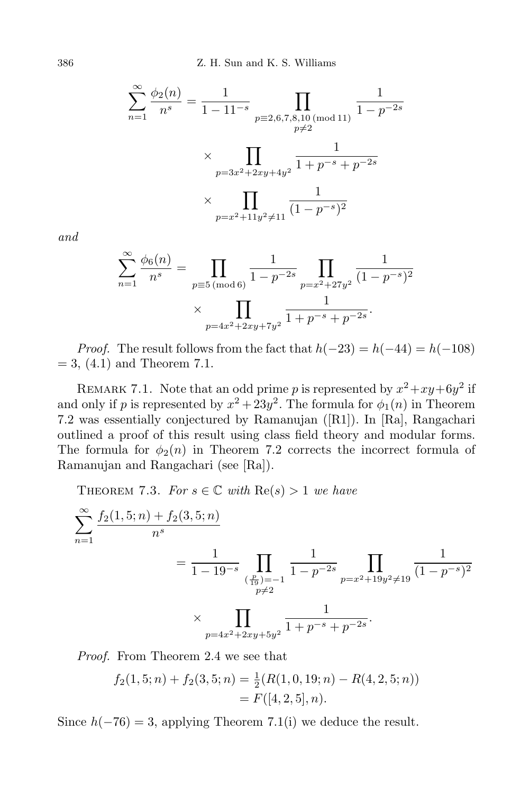386 Z. H. Sun and K. S. Williams

$$
\sum_{n=1}^{\infty} \frac{\phi_2(n)}{n^s} = \frac{1}{1 - 11^{-s}} \prod_{\substack{p \equiv 2, 6, 7, 8, 10 \pmod{11}}} \frac{1}{1 - p^{-2s}}
$$

$$
\times \prod_{\substack{p = 3x^2 + 2xy + 4y^2}} \frac{1}{1 + p^{-s} + p^{-2s}}
$$

$$
\times \prod_{\substack{p = x^2 + 11y^2 \neq 11}} \frac{1}{(1 - p^{-s})^2}
$$

*and*

$$
\sum_{n=1}^{\infty} \frac{\phi_6(n)}{n^s} = \prod_{p \equiv 5 \pmod{6}} \frac{1}{1 - p^{-2s}} \prod_{p = x^2 + 27y^2} \frac{1}{(1 - p^{-s})^2}
$$

$$
\times \prod_{p = 4x^2 + 2xy + 7y^2} \frac{1}{1 + p^{-s} + p^{-2s}}.
$$

*Proof.* The result follows from the fact that  $h(-23) = h(-44) = h(-108)$  $= 3, (4.1)$  and Theorem 7.1.

REMARK 7.1. Note that an odd prime *p* is represented by  $x^2 + xy + 6y^2$  if and only if *p* is represented by  $x^2 + 23y^2$ . The formula for  $\phi_1(n)$  in Theorem 7.2 was essentially conjectured by Ramanujan ([R1]). In [Ra], Rangachari outlined a proof of this result using class field theory and modular forms. The formula for  $\phi_2(n)$  in Theorem 7.2 corrects the incorrect formula of Ramanujan and Rangachari (see [Ra]).

THEOREM 7.3. *For*  $s \in \mathbb{C}$  *with*  $\text{Re}(s) > 1$  *we have* 

$$
\sum_{n=1}^{\infty} \frac{f_2(1,5;n) + f_2(3,5;n)}{n^s}
$$
\n
$$
= \frac{1}{1 - 19^{-s}} \prod_{\substack{\left(\frac{p}{19}\right) = -1 \\ p \neq 2}} \frac{1}{1 - p^{-2s}} \prod_{p=x^2 + 19y^2 \neq 19} \frac{1}{(1 - p^{-s})^2}
$$
\n
$$
\times \prod_{p=4x^2 + 2xy + 5y^2} \frac{1}{1 + p^{-s} + p^{-2s}}.
$$

*Proof.* From Theorem 2.4 we see that

$$
f_2(1,5;n) + f_2(3,5;n) = \frac{1}{2}(R(1,0,19;n) - R(4,2,5;n))
$$
  
= F([4,2,5], n).

Since  $h(-76) = 3$ , applying Theorem 7.1(i) we deduce the result.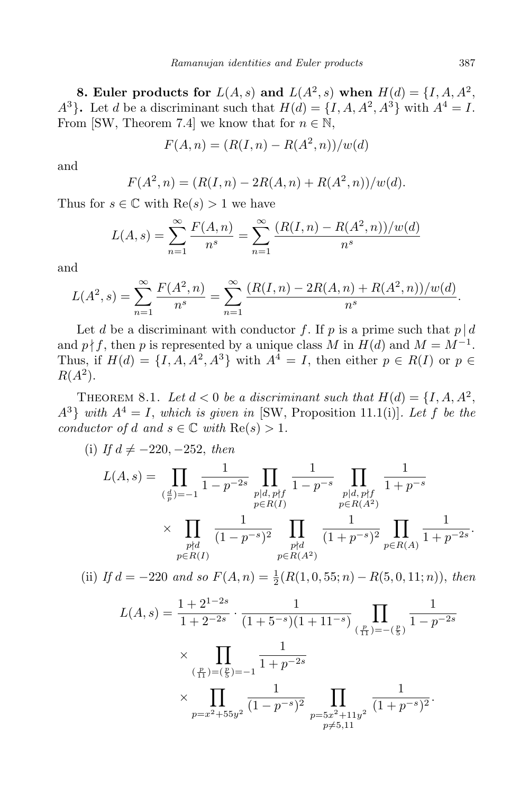**8. Euler products for**  $L(A, s)$  and  $L(A^2, s)$  when  $H(d) = \{I, A, A^2, \}$ *A*<sup>3</sup>**}**. Let *d* be a discriminant such that  $H(d) = \{I, A, A^2, A^3\}$  with  $A^4 = I$ . From [SW, Theorem 7.4] we know that for  $n \in \mathbb{N}$ ,

$$
F(A, n) = (R(I, n) - R(A^2, n))/w(d)
$$

and

$$
F(A^2, n) = (R(I, n) - 2R(A, n) + R(A^2, n))/w(d).
$$

Thus for  $s \in \mathbb{C}$  with  $\text{Re}(s) > 1$  we have

$$
L(A, s) = \sum_{n=1}^{\infty} \frac{F(A, n)}{n^s} = \sum_{n=1}^{\infty} \frac{(R(I, n) - R(A^2, n))/w(d)}{n^s}
$$

and

$$
L(A^2, s) = \sum_{n=1}^{\infty} \frac{F(A^2, n)}{n^s} = \sum_{n=1}^{\infty} \frac{(R(I, n) - 2R(A, n) + R(A^2, n))/w(d)}{n^s}.
$$

Let *d* be a discriminant with conductor *f*. If *p* is a prime such that  $p | d$ and  $p \nmid f$ , then *p* is represented by a unique class *M* in  $H(d)$  and  $M = M^{-1}$ . Thus, if  $H(d) = \{I, A, A^2, A^3\}$  with  $A^4 = I$ , then either  $p \in R(I)$  or  $p \in R(I)$  $R(A^2)$ .

THEOREM 8.1. Let  $d < 0$  be a discriminant such that  $H(d) = \{I, A, A^2, \ldots, A^d\}$  $A^3$ *} with*  $A^4 = I$ *, which is given in* [SW, Proposition 11.1(i)]*. Let f be the conductor of d and*  $s \in \mathbb{C}$  *with*  $\text{Re}(s) > 1$ *.* 

(i) If 
$$
d \neq -220, -252
$$
, then  
\n
$$
L(A, s) = \prod_{\substack{(\frac{d}{p})=-1}} \frac{1}{1-p^{-2s}} \prod_{\substack{p|d, p\nmid f \ p\in R(I)}} \frac{1}{1-p^{-s}} \prod_{\substack{p|d, p\nmid f \ p\in R(A^2) \\ p\in R(A^2)}} \frac{1}{1+p^{-s}}
$$
\n
$$
\times \prod_{\substack{p\nmid d \ p\in R(I)}} \frac{1}{(1-p^{-s})^2} \prod_{\substack{p\nmid d \ p\in R(A^2) \\ p\in R(A^2)}} \frac{1}{(1+p^{-s})^2} \prod_{\substack{p\in R(A) \\ p\in R(A^2)}} \frac{1}{1+p^{-2s}}.
$$

(ii) *If*  $d = -220$  *and so*  $F(A, n) = \frac{1}{2}(R(1, 0, 55; n) - R(5, 0, 11; n))$ *, then* 

$$
L(A,s) = \frac{1+2^{1-2s}}{1+2^{-2s}} \cdot \frac{1}{(1+5^{-s})(1+11^{-s})} \prod_{\substack{(\frac{p}{11}) = -(\frac{p}{5})}} \frac{1}{1-p^{-2s}}
$$
  
 
$$
\times \prod_{\substack{(\frac{p}{11}) = (\frac{p}{5}) = -1}} \frac{1}{1+p^{-2s}}
$$
  
 
$$
\times \prod_{p=x^2+55y^2} \frac{1}{(1-p^{-s})^2} \prod_{\substack{p=5x^2+11y^2 \\ p \neq 5,11}} \frac{1}{(1+p^{-s})^2}.
$$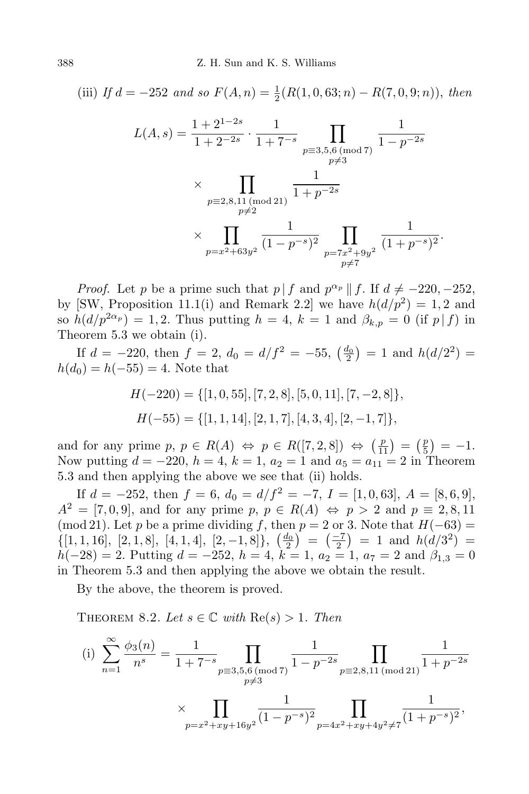(iii) *If*  $d = -252$  *and so*  $F(A, n) = \frac{1}{2}(R(1, 0, 63; n) - R(7, 0, 9; n))$ , *then* 

$$
L(A, s) = \frac{1 + 2^{1-2s}}{1 + 2^{-2s}} \cdot \frac{1}{1 + 7^{-s}} \prod_{\substack{p \equiv 3, 5, 6 \pmod{7} \\ p \neq 3}} \frac{1}{1 - p^{-2s}}
$$
  
\$\times \prod\_{\substack{p \equiv 2, 8, 11 \pmod{21} \\ p \neq 2}} \frac{1}{1 + p^{-2s}}\$  
\$\times \prod\_{\substack{p \equiv x^2 + 63y^2}} \frac{1}{(1 - p^{-s})^2} \prod\_{\substack{p \equiv 7x^2 + 9y^2 \\ p \neq 7}} \frac{1}{(1 + p^{-s})^2}\$.

*Proof.* Let *p* be a prime such that  $p \mid f$  and  $p^{\alpha_p} \mid f$ . If  $d \neq -220, -252$ , by [SW, Proposition 11.1(i) and Remark 2.2] we have  $h(d/p^2) = 1, 2$  and so  $h(d/p^{2\alpha_p}) = 1,2$ . Thus putting  $h = 4, k = 1$  and  $\beta_{k,p} = 0$  (if  $p|f$ ) in Theorem 5.3 we obtain (i).

If  $d = -220$ , then  $f = 2$ ,  $d_0 = d/f^2 = -55$ ,  $\left(\frac{d_0}{2}\right) = 1$  and  $h(d/2^2) =$  $h(d_0) = h(-55) = 4$ . Note that

$$
H(-220) = \{ [1, 0, 55], [7, 2, 8], [5, 0, 11], [7, -2, 8] \},
$$
  

$$
H(-55) = \{ [1, 1, 14], [2, 1, 7], [4, 3, 4], [2, -1, 7] \},
$$

and for any prime  $p, p \in R(A) \Leftrightarrow p \in R([7, 2, 8]) \Leftrightarrow \left(\frac{p}{11}\right) = \left(\frac{p}{5}\right)$  $(\frac{p}{5}) = -1.$ Now putting  $d = -220$ ,  $h = 4$ ,  $k = 1$ ,  $a_2 = 1$  and  $a_5 = a_{11} = 2$  in Theorem 5.3 and then applying the above we see that (ii) holds.

If  $d = -252$ , then  $f = 6$ ,  $d_0 = d/f^2 = -7$ ,  $I = [1, 0, 63]$ ,  $A = [8, 6, 9]$ ,  $A^2 = [7, 0, 9]$ , and for any prime  $p, p \in R(A) \Leftrightarrow p > 2$  and  $p \equiv 2, 8, 11$ (mod 21). Let *p* be a prime dividing *f*, then  $p = 2$  or 3. Note that  $H(-63) =$  $\{[1, 1, 16], [2, 1, 8], [4, 1, 4], [2, -1, 8]\}, \left(\frac{d_0}{2}\right) = \left(\frac{-7}{2}\right) = 1$  and  $h(d/3^2) =$  $h(-28) = 2$ . Putting  $d = -252$ ,  $h = 4$ ,  $k = 1$ ,  $a_2 = 1$ ,  $a_7 = 2$  and  $\beta_{1,3} = 0$ in Theorem 5.3 and then applying the above we obtain the result.

By the above, the theorem is proved.

THEOREM 8.2. Let  $s \in \mathbb{C}$  with  $\text{Re}(s) > 1$ . Then

(i) 
$$
\sum_{n=1}^{\infty} \frac{\phi_3(n)}{n^s} = \frac{1}{1+7^{-s}} \prod_{\substack{p\equiv 3,5,6 \pmod{7} \\ p\neq 3}} \frac{1}{1-p^{-2s}} \prod_{\substack{p\equiv 2,8,11 \pmod{21} \\ p\equiv 4x^2+xy+4y^2\neq 7}} \frac{1}{(1+p^{-2s})^2}
$$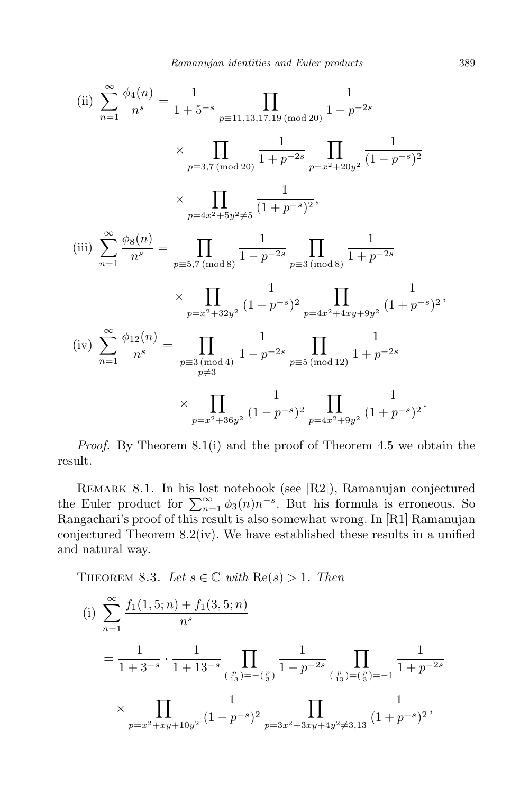(ii) 
$$
\sum_{n=1}^{\infty} \frac{\phi_4(n)}{n^s} = \frac{1}{1+5^{-s}} \prod_{p \equiv 11,13,17,19 \pmod{20}} \frac{1}{1-p^{-2s}}
$$

$$
\times \prod_{p \equiv 3,7 \pmod{20}} \frac{1}{1+p^{-2s}} \prod_{p=x^2+20y^2} \frac{1}{(1-p^{-s})^2}
$$

$$
\times \prod_{p=4x^2+5y^2 \neq 5} \frac{1}{(1+p^{-s})^2},
$$
(iii) 
$$
\sum_{n=1}^{\infty} \frac{\phi_8(n)}{n^s} = \prod_{p \equiv 5,7 \pmod{8}} \frac{1}{1-p^{-2s}} \prod_{p \equiv 3 \pmod{8}} \frac{1}{1+p^{-2s}}
$$

$$
\times \prod_{p=x^2+32y^2} \frac{1}{(1-p^{-s})^2} \prod_{p=4x^2+4xy+9y^2} \frac{1}{(1+p^{-s})^2},
$$
(iv) 
$$
\sum_{n=1}^{\infty} \frac{\phi_{12}(n)}{n^s} = \prod_{\substack{p \equiv 3 \pmod{4} \\ p \neq 3}} \frac{1}{1-p^{-2s}} \prod_{p \equiv 5 \pmod{12}} \frac{1}{1+p^{-2s}}
$$

$$
\times \prod_{p=x^2+36y^2} \frac{1}{(1-p^{-s})^2} \prod_{p=4x^2+9y^2} \frac{1}{(1+p^{-s})^2}.
$$

*Proof.* By Theorem 8.1(i) and the proof of Theorem 4.5 we obtain the result.

Remark 8.1. In his lost notebook (see [R2]), Ramanujan conjectured the Euler product for  $\sum_{n=1}^{\infty} \phi_3(n) n^{-s}$ . But his formula is erroneous. So Rangachari's proof of this result is also somewhat wrong. In [R1] Ramanujan conjectured Theorem 8.2(iv). We have established these results in a unified and natural way.

THEOREM 8.3. Let  $s \in \mathbb{C}$  with  $\text{Re}(s) > 1$ . Then

(i) 
$$
\sum_{n=1}^{\infty} \frac{f_1(1,5;n) + f_1(3,5;n)}{n^s}
$$
  
= 
$$
\frac{1}{1+3^{-s}} \cdot \frac{1}{1+13^{-s}} \prod_{(\frac{p}{13})=-(\frac{p}{3})} \frac{1}{1-p^{-2s}} \prod_{(\frac{p}{13})=(\frac{p}{3})=-1} \frac{1}{1+p^{-2s}}
$$
  

$$
\times \prod_{p=x^2+xy+10y^2} \frac{1}{(1-p^{-s})^2} \prod_{p=3x^2+3xy+4y^2 \neq 3,13} \frac{1}{(1+p^{-s})^2},
$$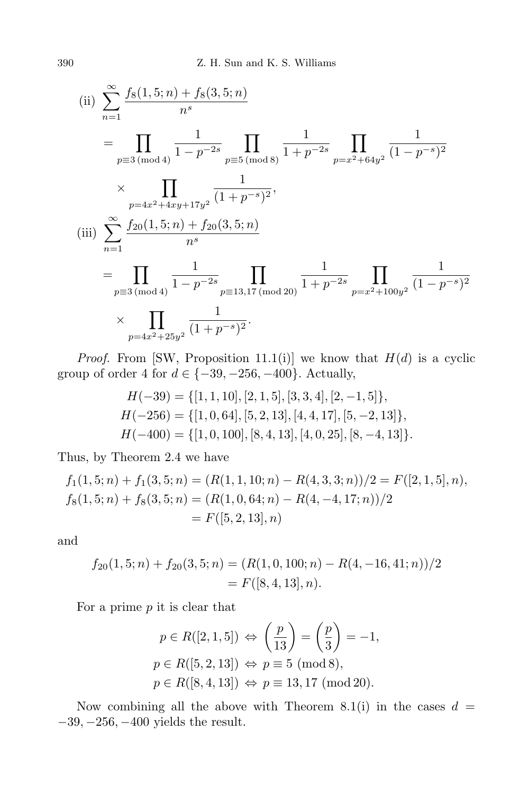(ii) 
$$
\sum_{n=1}^{\infty} \frac{f_8(1,5;n) + f_8(3,5;n)}{n^s}
$$
  
\n
$$
= \prod_{p\equiv 3 \pmod{4}} \frac{1}{1-p^{-2s}} \prod_{p\equiv 5 \pmod{8}} \frac{1}{1+p^{-2s}} \prod_{p=x^2+64y^2} \frac{1}{(1-p^{-s})^2}
$$
  
\n
$$
\times \prod_{p=4x^2+4xy+17y^2} \frac{1}{(1+p^{-s})^2},
$$
  
\n(iii) 
$$
\sum_{n=1}^{\infty} \frac{f_{20}(1,5;n) + f_{20}(3,5;n)}{n^s}
$$
  
\n
$$
= \prod_{p\equiv 3 \pmod{4}} \frac{1}{1-p^{-2s}} \prod_{p\equiv 13,17 \pmod{20}} \frac{1}{1+p^{-2s}} \prod_{p=x^2+100y^2} \frac{1}{(1-p^{-s})^2}
$$
  
\n
$$
\times \prod_{p=4x^2+25y^2} \frac{1}{(1+p^{-s})^2}.
$$

*Proof.* From [SW, Proposition 11.1(i)] we know that  $H(d)$  is a cyclic group of order 4 for  $d \in \{-39, -256, -400\}$ . Actually,

$$
H(-39) = \{ [1, 1, 10], [2, 1, 5], [3, 3, 4], [2, -1, 5] \},
$$
  
\n
$$
H(-256) = \{ [1, 0, 64], [5, 2, 13], [4, 4, 17], [5, -2, 13] \},
$$
  
\n
$$
H(-400) = \{ [1, 0, 100], [8, 4, 13], [4, 0, 25], [8, -4, 13] \}.
$$

Thus, by Theorem 2.4 we have

$$
f_1(1,5;n) + f_1(3,5;n) = (R(1,1,10;n) - R(4,3,3;n))/2 = F([2,1,5],n),
$$
  
\n
$$
f_8(1,5;n) + f_8(3,5;n) = (R(1,0,64;n) - R(4,-4,17;n))/2
$$
  
\n
$$
= F([5,2,13],n)
$$

and

$$
f_{20}(1,5;n) + f_{20}(3,5;n) = (R(1,0,100;n) - R(4,-16,41;n))/2
$$
  
= F([8,4,13], n).

For a prime *p* it is clear that

$$
p \in R([2, 1, 5]) \Leftrightarrow \left(\frac{p}{13}\right) = \left(\frac{p}{3}\right) = -1,
$$
  
\n
$$
p \in R([5, 2, 13]) \Leftrightarrow p \equiv 5 \text{ (mod 8)},
$$
  
\n
$$
p \in R([8, 4, 13]) \Leftrightarrow p \equiv 13, 17 \text{ (mod 20)}.
$$

Now combining all the above with Theorem 8.1(i) in the cases  $d =$ *−*39*, −*256*, −*400 yields the result.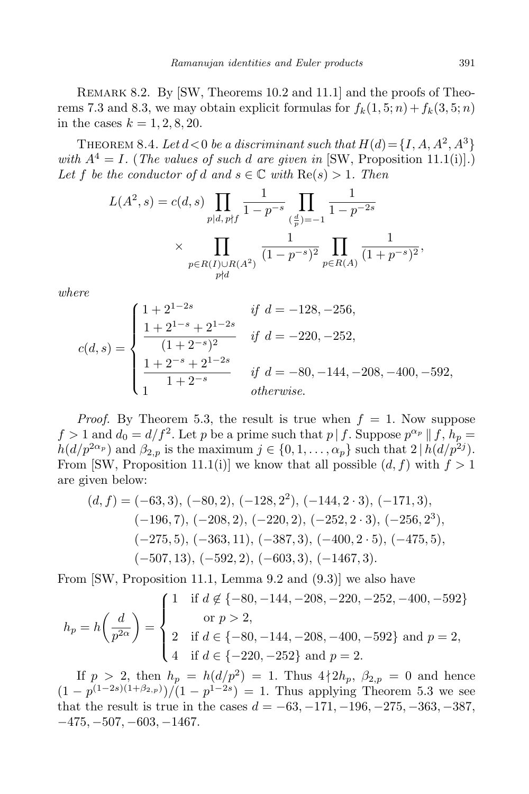REMARK 8.2. By [SW, Theorems 10.2 and 11.1] and the proofs of Theorems 7.3 and 8.3, we may obtain explicit formulas for  $f_k(1, 5; n) + f_k(3, 5; n)$ in the cases  $k = 1, 2, 8, 20$ .

THEOREM 8.4. *Let*  $d < 0$  *be a discriminant such that*  $H(d) = \{I, A, A^2, A^3\}$ *with*  $A^4 = I$ *.* (*The values of such d are given in* [SW, Proposition 11.1(i)]*.*) Let *f* be the conductor of *d* and  $s \in \mathbb{C}$  with  $\text{Re}(s) > 1$ . Then

$$
L(A^2, s) = c(d, s) \prod_{p|d, p \nmid f} \frac{1}{1 - p^{-s}} \prod_{\substack{\left(\frac{d}{p}\right) = -1 \\ p \in R(A)}} \frac{1}{1 - p^{-2s}}
$$
  
 
$$
\times \prod_{\substack{p \in R(I) \cup R(A^2) \\ p \nmid d}} \frac{1}{(1 - p^{-s})^2} \prod_{p \in R(A)} \frac{1}{(1 + p^{-s})^2},
$$

*where*

$$
c(d,s) = \begin{cases} 1 + 2^{1-2s} & \text{if } d = -128, -256, \\ \frac{1 + 2^{1-s} + 2^{1-2s}}{(1+2^{-s})^2} & \text{if } d = -220, -252, \\ \frac{1 + 2^{-s} + 2^{1-2s}}{1+2^{-s}} & \text{if } d = -80, -144, -208, -400, -592, \\ 1 & \text{otherwise.} \end{cases}
$$

*Proof.* By Theorem 5.3, the result is true when  $f = 1$ . Now suppose  $f > 1$  and  $d_0 = d/f^2$ . Let *p* be a prime such that  $p \mid f$ . Suppose  $p^{\alpha_p} \mid f, h_p =$  $h(d/p^{2\alpha}p)$  and  $\beta_{2,p}$  is the maximum  $j \in \{0, 1, \ldots, \alpha_p\}$  such that  $2 | h(d/p^{2j})$ . From [SW, Proposition 11.1(i)] we know that all possible  $(d, f)$  with  $f > 1$ are given below:

$$
(d, f) = (-63, 3), (-80, 2), (-128, 22), (-144, 2 \cdot 3), (-171, 3),(-196, 7), (-208, 2), (-220, 2), (-252, 2 \cdot 3), (-256, 23),(-275, 5), (-363, 11), (-387, 3), (-400, 2 \cdot 5), (-475, 5),(-507, 13), (-592, 2), (-603, 3), (-1467, 3).
$$

From [SW, Proposition 11.1, Lemma 9.2 and (9.3)] we also have

$$
h_p = h\left(\frac{d}{p^{2\alpha}}\right) = \begin{cases} 1 & \text{if } d \notin \{-80, -144, -208, -220, -252, -400, -592\} \\ & \text{or } p > 2, \\ 2 & \text{if } d \in \{-80, -144, -208, -400, -592\} \text{ and } p = 2, \\ 4 & \text{if } d \in \{-220, -252\} \text{ and } p = 2. \end{cases}
$$

If  $p > 2$ , then  $h_p = h(d/p^2) = 1$ . Thus  $4 \nmid 2h_p$ ,  $\beta_{2,p} = 0$  and hence  $(1 - p^{(1-2s)(1+\beta_{2,p})})/(1 - p^{1-2s}) = 1$ . Thus applying Theorem 5.3 we see that the result is true in the cases  $d = -63, -171, -196, -275, -363, -387,$ *−*475*, −*507*, −*603*, −*1467*.*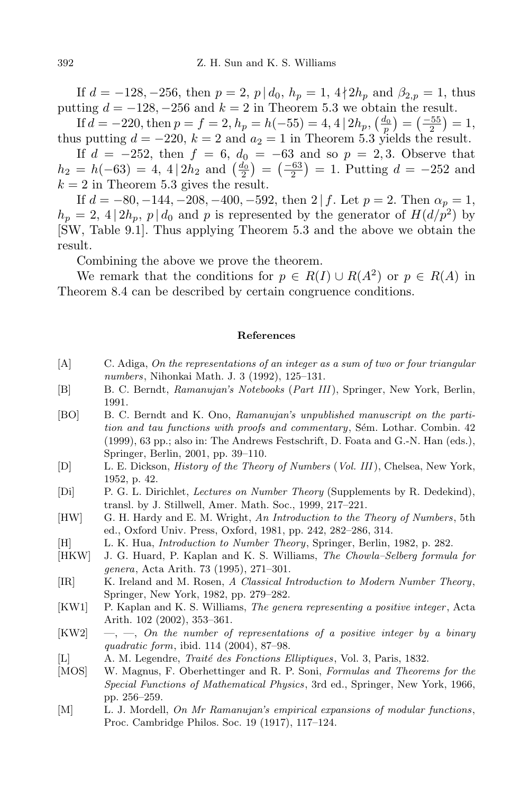If  $d = -128, -256$ , then  $p = 2$ ,  $p \mid d_0, h_p = 1, 4 \nmid 2h_p$  and  $\beta_{2,p} = 1$ , thus putting  $d = -128, -256$  and  $k = 2$  in Theorem 5.3 we obtain the result.

If  $d = -220$ , then  $p = f = 2$ ,  $h_p = h(-55) = 4$ ,  $4 | 2h_p$ ,  $\left(\frac{d_0}{p}\right) = \left(\frac{-55}{2}\right) = 1$ , thus putting  $d = -220$ ,  $k = 2$  and  $a_2 = 1$  in Theorem 5.3 yields the result.

If *d* = −252, then *f* = 6, *d*<sub>0</sub> = −63 and so *p* = 2,3. Observe that  $h_2 = h(-63) = 4, 4|2h_2$  and  $\left(\frac{d_0}{2}\right) = \left(\frac{-63}{2}\right) = 1$ . Putting  $d = -252$  and  $k = 2$  in Theorem 5.3 gives the result.

If  $d = -80, -144, -208, -400, -592$ , then  $2 | f$ . Let  $p = 2$ . Then  $\alpha_p = 1$ ,  $h_p = 2$ , 4 | 2*h*<sub>p</sub>, *p* | *d*<sub>0</sub> and *p* is represented by the generator of *H*(*d/p*<sup>2</sup>) by [SW, Table 9.1]. Thus applying Theorem 5.3 and the above we obtain the result.

Combining the above we prove the theorem.

We remark that the conditions for  $p \in R(I) \cup R(A^2)$  or  $p \in R(A)$  in Theorem 8.4 can be described by certain congruence conditions.

## **References**

- [A] C. Adiga, *On the representations of an integer as a sum of two or four triangular numbers*, Nihonkai Math. J. 3 (1992), 125–131.
- [B] B. C. Berndt, *Ramanujan's Notebooks* (*Part III* ), Springer, New York, Berlin, 1991.
- [BO] B. C. Berndt and K. Ono, *Ramanujan's unpublished manuscript on the partition and tau functions with proofs and commentary*, Sem. Lothar. Combin. 42 (1999), 63 pp.; also in: The Andrews Festschrift, D. Foata and G.-N. Han (eds.), Springer, Berlin, 2001, pp. 39–110.
- [D] L. E. Dickson, *History of the Theory of Numbers* (*Vol. III* ), Chelsea, New York, 1952, p. 42.
- [Di] P. G. L. Dirichlet, *Lectures on Number Theory* (Supplements by R. Dedekind), transl. by J. Stillwell, Amer. Math. Soc., 1999, 217–221.
- [HW] G. H. Hardy and E. M. Wright, *An Introduction to the Theory of Numbers*, 5th ed., Oxford Univ. Press, Oxford, 1981, pp. 242, 282–286, 314.
- [H] L. K. Hua, *Introduction to Number Theory*, Springer, Berlin, 1982, p. 282.
- [HKW] J. G. Huard, P. Kaplan and K. S. Williams, *The Chowla–Selberg formula for genera*, Acta Arith. 73 (1995), 271–301.
- [IR] K. Ireland and M. Rosen, *A Classical Introduction to Modern Number Theory*, Springer, New York, 1982, pp. 279–282.
- [KW1] P. Kaplan and K. S. Williams, *The genera representing a positive integer* , Acta Arith. 102 (2002), 353–361.
- [KW2] —, —, *On the number of representations of a positive integer by a binary quadratic form*, ibid. 114 (2004), 87–98.
- [L] A. M. Legendre, *Trait´e des Fonctions Elliptiques*, Vol. 3, Paris, 1832.
- [MOS] W. Magnus, F. Oberhettinger and R. P. Soni, *Formulas and Theorems for the Special Functions of Mathematical Physics*, 3rd ed., Springer, New York, 1966, pp. 256–259.
- [M] L. J. Mordell, *On Mr Ramanujan's empirical expansions of modular functions*, Proc. Cambridge Philos. Soc. 19 (1917), 117–124.